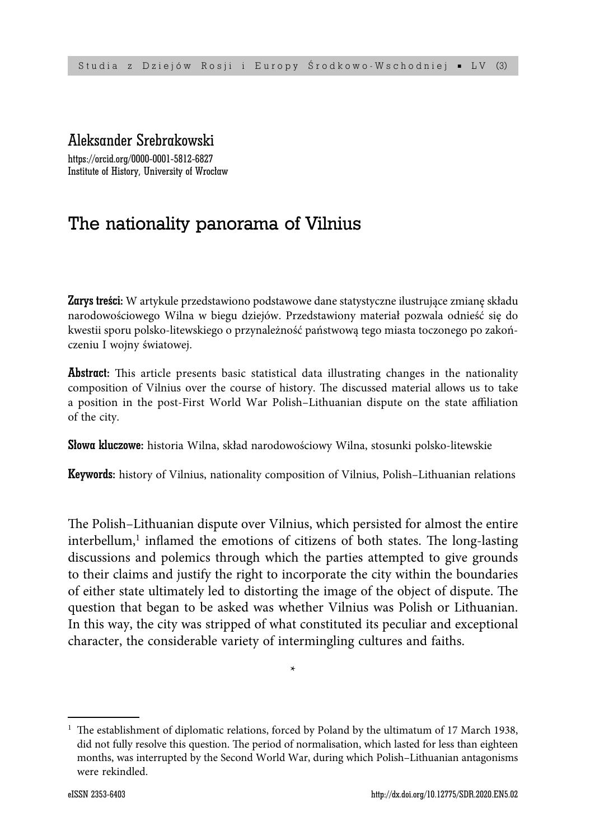# Aleksander Srebrakowski

https://orcid.org/0000-0001-5812-6827 Institute of History, University of Wrocław

# The nationality panorama of Vilnius

Zarys treści: W artykule przedstawiono podstawowe dane statystyczne ilustrujące zmianę składu narodowościowego Wilna w biegu dziejów. Przedstawiony materiał pozwala odnieść się do kwestii sporu polsko-litewskiego o przynależność państwową tego miasta toczonego po zakończeniu I wojny światowej.

**Abstract:** This article presents basic statistical data illustrating changes in the nationality composition of Vilnius over the course of history. The discussed material allows us to take a position in the post-First World War Polish–Lithuanian dispute on the state affiliation of the city.

Słowa kluczowe: historia Wilna, skład narodowościowy Wilna, stosunki polsko-litewskie

Keywords: history of Vilnius, nationality composition of Vilnius, Polish–Lithuanian relations

The Polish–Lithuanian dispute over Vilnius, which persisted for almost the entire interbellum,<sup>1</sup> inflamed the emotions of citizens of both states. The long-lasting discussions and polemics through which the parties attempted to give grounds to their claims and justify the right to incorporate the city within the boundaries of either state ultimately led to distorting the image of the object of dispute. The question that began to be asked was whether Vilnius was Polish or Lithuanian. In this way, the city was stripped of what constituted its peculiar and exceptional character, the considerable variety of intermingling cultures and faiths.

\*

 $1$  The establishment of diplomatic relations, forced by Poland by the ultimatum of 17 March 1938, did not fully resolve this question. The period of normalisation, which lasted for less than eighteen months, was interrupted by the Second World War, during which Polish–Lithuanian antagonisms were rekindled.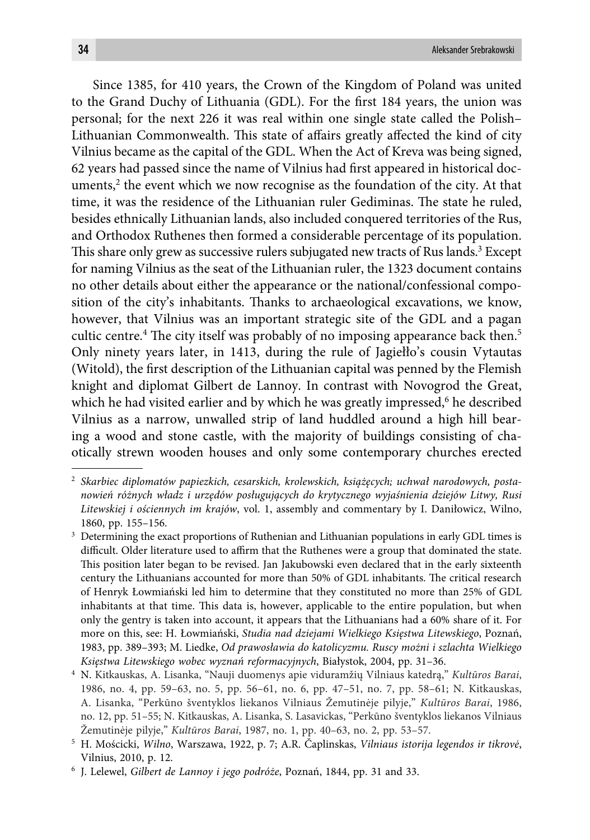Since 1385, for 410 years, the Crown of the Kingdom of Poland was united to the Grand Duchy of Lithuania (GDL). For the first 184 years, the union was personal; for the next 226 it was real within one single state called the Polish– Lithuanian Commonwealth. This state of affairs greatly affected the kind of city Vilnius became as the capital of the GDL. When the Act of Kreva was being signed, 62 years had passed since the name of Vilnius had first appeared in historical documents, $^2$  the event which we now recognise as the foundation of the city. At that time, it was the residence of the Lithuanian ruler Gediminas. The state he ruled, besides ethnically Lithuanian lands, also included conquered territories of the Rus, and Orthodox Ruthenes then formed a considerable percentage of its population. This share only grew as successive rulers subjugated new tracts of Rus lands.<sup>3</sup> Except for naming Vilnius as the seat of the Lithuanian ruler, the 1323 document contains no other details about either the appearance or the national/confessional composition of the city's inhabitants. Thanks to archaeological excavations, we know, however, that Vilnius was an important strategic site of the GDL and a pagan cultic centre.<sup>4</sup> The city itself was probably of no imposing appearance back then.<sup>5</sup> Only ninety years later, in 1413, during the rule of Jagiełło's cousin Vytautas (Witold), the first description of the Lithuanian capital was penned by the Flemish knight and diplomat Gilbert de Lannoy. In contrast with Novogrod the Great, which he had visited earlier and by which he was greatly impressed,<sup>6</sup> he described Vilnius as a narrow, unwalled strip of land huddled around a high hill bearing a wood and stone castle, with the majority of buildings consisting of chaotically strewn wooden houses and only some contemporary churches erected

<sup>2</sup> *Skarbiec diplomatów papiezkich, cesarskich, krolewskich, książęcych; uchwał narodowych, postanowień różnych władz i urzędów posługujących do krytycznego wyjaśnienia dziejów Litwy, Rusi Litewskiej i ościennych im krajów*, vol. 1, assembly and commentary by I. Daniłowicz, Wilno, 1860, pp. 155–156.

<sup>&</sup>lt;sup>3</sup> Determining the exact proportions of Ruthenian and Lithuanian populations in early GDL times is difficult. Older literature used to affirm that the Ruthenes were a group that dominated the state. This position later began to be revised. Jan Jakubowski even declared that in the early sixteenth century the Lithuanians accounted for more than 50% of GDL inhabitants. The critical research of Henryk Łowmiański led him to determine that they constituted no more than 25% of GDL inhabitants at that time. This data is, however, applicable to the entire population, but when only the gentry is taken into account, it appears that the Lithuanians had a 60% share of it. For more on this, see: H. Łowmiański, *Studia nad dziejami Wielkiego Księstwa Litewskiego*, Poznań, 1983, pp. 389–393; M. Liedke, *Od prawosławia do katolicyzmu. Ruscy możni i szlachta Wielkiego Księstwa Litewskiego wobec wyznań reformacyjnych*, Białystok, 2004, pp. 31–36.

<sup>4</sup> N. Kitkauskas, A. Lisanka, "Nauji duomenys apie viduramžių Vilniaus katedrą," *Kultūros Barai*, 1986, no. 4, pp. 59–63, no. 5, pp. 56–61, no. 6, pp. 47–51, no. 7, pp. 58–61; N. Kitkauskas, A. Lisanka, "Perkūno šventyklos liekanos Vilniaus Žemutinėje pilyje," *Kultūros Barai*, 1986, no. 12, pp. 51–55; N. Kitkauskas, A. Lisanka, S. Lasavickas, "Perkūno šventyklos liekanos Vilniaus Žemutinėje pilyje," *Kultūros Barai*, 1987, no. 1, pp. 40–63, no. 2, pp. 53–57.

<sup>5</sup> H. Mościcki, *Wilno*, Warszawa, 1922, p. 7; A.R. Čaplinskas, *Vilniaus istorija legendos ir tikrovė*, Vilnius, 2010, p. 12.

<sup>6</sup> J. Lelewel, *Gilbert de Lannoy i jego podróże*, Poznań, 1844, pp. 31 and 33.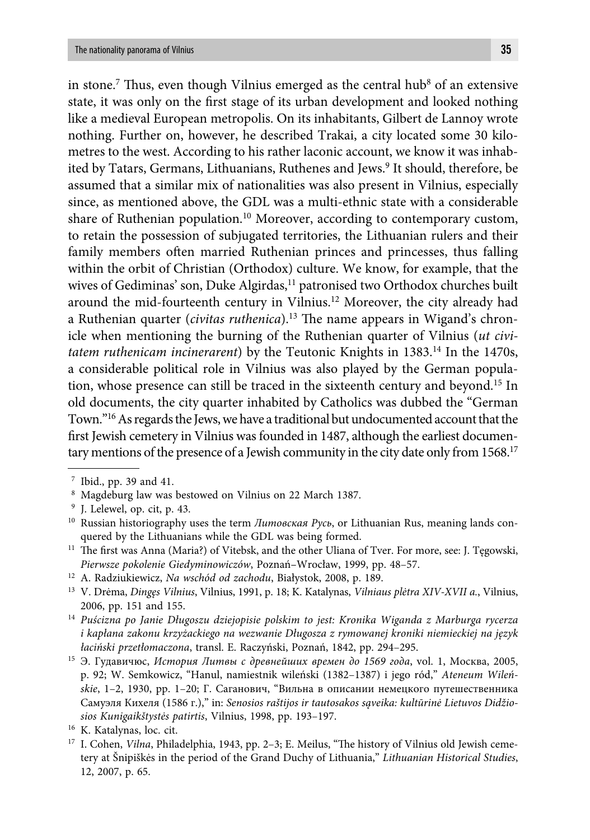in stone.<sup>7</sup> Thus, even though Vilnius emerged as the central hub<sup>8</sup> of an extensive state, it was only on the first stage of its urban development and looked nothing like a medieval European metropolis. On its inhabitants, Gilbert de Lannoy wrote nothing. Further on, however, he described Trakai, a city located some 30 kilometres to the west. According to his rather laconic account, we know it was inhabited by Tatars, Germans, Lithuanians, Ruthenes and Jews.<sup>9</sup> It should, therefore, be assumed that a similar mix of nationalities was also present in Vilnius, especially since, as mentioned above, the GDL was a multi-ethnic state with a considerable share of Ruthenian population.<sup>10</sup> Moreover, according to contemporary custom, to retain the possession of subjugated territories, the Lithuanian rulers and their family members often married Ruthenian princes and princesses, thus falling within the orbit of Christian (Orthodox) culture. We know, for example, that the wives of Gediminas' son, Duke Algirdas,<sup>11</sup> patronised two Orthodox churches built around the mid-fourteenth century in Vilnius.12 Moreover, the city already had a Ruthenian quarter (*civitas ruthenica*).<sup>13</sup> The name appears in Wigand's chronicle when mentioning the burning of the Ruthenian quarter of Vilnius (*ut civitatem ruthenicam incinerarent*) by the Teutonic Knights in 1383.<sup>14</sup> In the 1470s, a considerable political role in Vilnius was also played by the German population, whose presence can still be traced in the sixteenth century and beyond.15 In old documents, the city quarter inhabited by Catholics was dubbed the "German Town."16 As regards the Jews, we have a traditional but undocumented account that the first Jewish cemetery in Vilnius was founded in 1487, although the earliest documentary mentions of the presence of a Jewish community in the city date only from 1568.<sup>17</sup>

<sup>7</sup> Ibid., pp. 39 and 41.

<sup>8</sup> Magdeburg law was bestowed on Vilnius on 22 March 1387.

<sup>9</sup> J. Lelewel, op. cit, p. 43.

<sup>&</sup>lt;sup>10</sup> Russian historiography uses the term *Литовская Русь*, or Lithuanian Rus, meaning lands conquered by the Lithuanians while the GDL was being formed.

<sup>&</sup>lt;sup>11</sup> The first was Anna (Maria?) of Vitebsk, and the other Uliana of Tver. For more, see: J. Tęgowski, *Pierwsze pokolenie Giedyminowiczów*, Poznań–Wrocław, 1999, pp. 48–57.

<sup>12</sup> A. Radziukiewicz, *Na wschód od zachodu*, Białystok, 2008, p. 189.

<sup>13</sup> V. Drėma, *Dingęs Vilnius*, Vilnius, 1991, p. 18; K. Katalynas, *Vilniaus plėtra XIV-XVII a.*, Vilnius, 2006, pp. 151 and 155.

<sup>14</sup> *Puścizna po Janie Długoszu dziejopisie polskim to jest: Kronika Wiganda z Marburga rycerza i kapłana zakonu krzyżackiego na wezwanie Długosza z rymowanej kroniki niemieckiej na język łaciński przetłomaczona*, transl. E. Raczyński, Poznań, 1842, pp. 294–295.

<sup>15</sup> Э. Гудавичюс, *История Литвы с древнейших времен до 1569 года*, vol. 1, Москва, 2005, p. 92; W. Semkowicz, "Hanul, namiestnik wileński (1382–1387) i jego ród," *Ateneum Wileńskie*, 1–2, 1930, pp. 1–20; Г. Саганович, "Вильна в описании немецкого путешественника Самуэля Кихеля (1586 г.)," in: *Senosios raštijos ir tautosakos sąveika: kultūrinė Lietuvos Didžiosios Kunigaikštystės patirtis*, Vilnius, 1998, pp. 193–197.

<sup>16</sup> K. Katalynas, loc. cit.

<sup>&</sup>lt;sup>17</sup> I. Cohen, *Vilna*, Philadelphia, 1943, pp. 2-3; E. Meilus, "The history of Vilnius old Jewish cemetery at Šnipiškės in the period of the Grand Duchy of Lithuania," *Lithuanian Historical Studies*, 12, 2007, p. 65.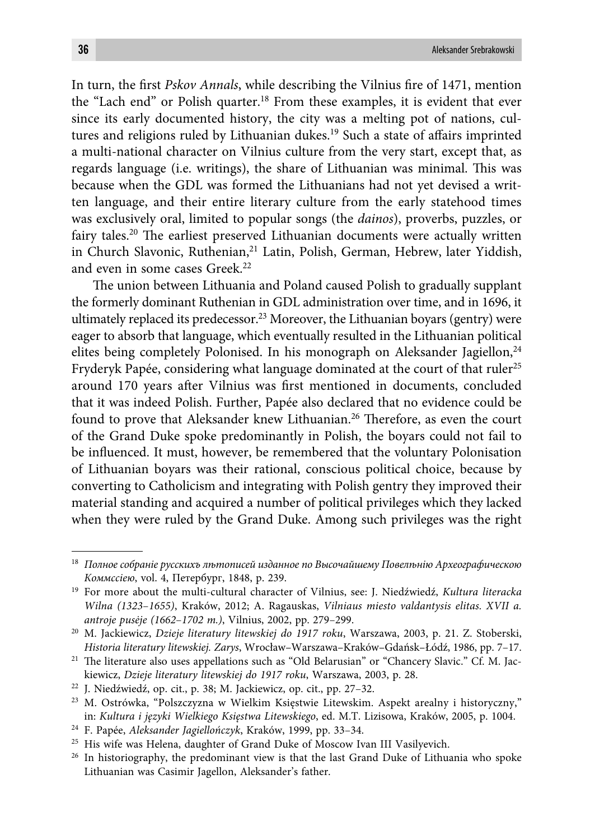In turn, the first *Pskov Annals*, while describing the Vilnius fire of 1471, mention the "Lach end" or Polish quarter.18 From these examples, it is evident that ever since its early documented history, the city was a melting pot of nations, cultures and religions ruled by Lithuanian dukes.<sup>19</sup> Such a state of affairs imprinted a multi-national character on Vilnius culture from the very start, except that, as regards language (i.e. writings), the share of Lithuanian was minimal. This was because when the GDL was formed the Lithuanians had not yet devised a written language, and their entire literary culture from the early statehood times was exclusively oral, limited to popular songs (the *dainos*), proverbs, puzzles, or fairy tales.<sup>20</sup> The earliest preserved Lithuanian documents were actually written in Church Slavonic, Ruthenian,<sup>21</sup> Latin, Polish, German, Hebrew, later Yiddish, and even in some cases Greek.<sup>22</sup>

The union between Lithuania and Poland caused Polish to gradually supplant the formerly dominant Ruthenian in GDL administration over time, and in 1696, it ultimately replaced its predecessor.<sup>23</sup> Moreover, the Lithuanian boyars (gentry) were eager to absorb that language, which eventually resulted in the Lithuanian political elites being completely Polonised. In his monograph on Aleksander Jagiellon,<sup>24</sup> Fryderyk Papée, considering what language dominated at the court of that ruler<sup>25</sup> around 170 years after Vilnius was first mentioned in documents, concluded that it was indeed Polish. Further, Papée also declared that no evidence could be found to prove that Aleksander knew Lithuanian.<sup>26</sup> Therefore, as even the court of the Grand Duke spoke predominantly in Polish, the boyars could not fail to be influenced. It must, however, be remembered that the voluntary Polonisation of Lithuanian boyars was their rational, conscious political choice, because by converting to Catholicism and integrating with Polish gentry they improved their material standing and acquired a number of political privileges which they lacked when they were ruled by the Grand Duke. Among such privileges was the right

<sup>&</sup>lt;sup>18</sup> Полное собраніе русскихъ лютописей изданное по Высочайшему Повелюнію Археографическою *Коммссіею*, vol. 4, Петербург, 1848, p. 239.

<sup>19</sup> For more about the multi-cultural character of Vilnius, see: J. Niedźwiedź, *Kultura literacka Wilna (1323*–*1655)*, Kraków, 2012; A. Ragauskas, *Vilniaus miesto valdantysis elitas. XVII a. antroje pusėje (1662*–*1702 m.)*, Vilnius, 2002, pp. 279–299.

<sup>20</sup> M. Jackiewicz, *Dzieje literatury litewskiej do 1917 roku*, Warszawa, 2003, p. 21. Z. Stoberski, *Historia literatury litewskiej. Zarys*, Wrocław–Warszawa–Kraków–Gdańsk–Łódź, 1986, pp. 7–17.

<sup>&</sup>lt;sup>21</sup> The literature also uses appellations such as "Old Belarusian" or "Chancery Slavic." Cf. M. Jackiewicz, *Dzieje literatury litewskiej do 1917 roku*, Warszawa, 2003, p. 28.

<sup>22</sup> J. Niedźwiedź, op. cit., p. 38; M. Jackiewicz, op. cit., pp. 27–32.

<sup>23</sup> M. Ostrówka, "Polszczyzna w Wielkim Księstwie Litewskim. Aspekt arealny i historyczny," in: *Kultura i języki Wielkiego Księstwa Litewskiego*, ed. M.T. Lizisowa, Kraków, 2005, p. 1004.

<sup>24</sup> F. Papée, *Aleksander Jagiellończyk*, Kraków, 1999, pp. 33–34.

<sup>&</sup>lt;sup>25</sup> His wife was Helena, daughter of Grand Duke of Moscow Ivan III Vasilyevich.

<sup>&</sup>lt;sup>26</sup> In historiography, the predominant view is that the last Grand Duke of Lithuania who spoke Lithuanian was Casimir Jagellon, Aleksander's father.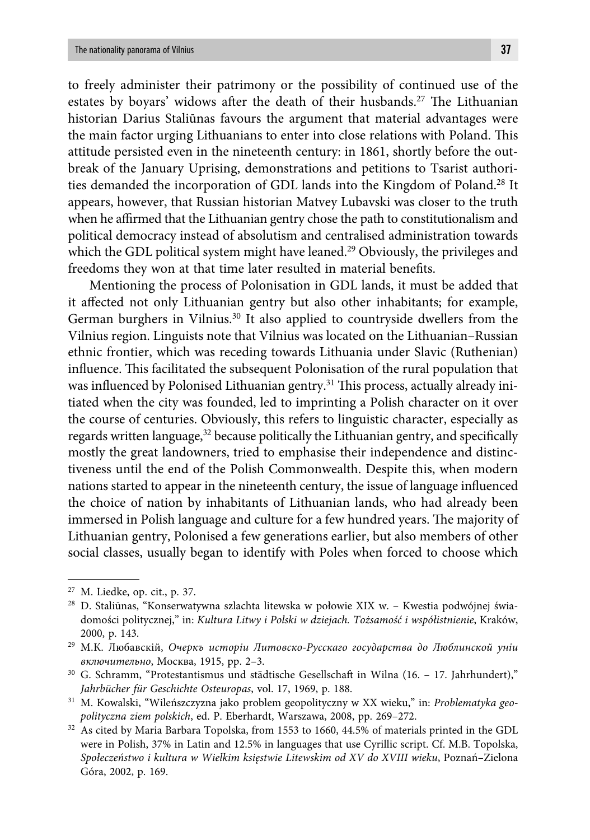to freely administer their patrimony or the possibility of continued use of the estates by boyars' widows after the death of their husbands.<sup>27</sup> The Lithuanian historian Darius Staliūnas favours the argument that material advantages were the main factor urging Lithuanians to enter into close relations with Poland. This attitude persisted even in the nineteenth century: in 1861, shortly before the outbreak of the January Uprising, demonstrations and petitions to Tsarist authorities demanded the incorporation of GDL lands into the Kingdom of Poland.28 It appears, however, that Russian historian Matvey Lubavski was closer to the truth when he affirmed that the Lithuanian gentry chose the path to constitutionalism and political democracy instead of absolutism and centralised administration towards which the GDL political system might have leaned.<sup>29</sup> Obviously, the privileges and freedoms they won at that time later resulted in material benefits.

Mentioning the process of Polonisation in GDL lands, it must be added that it affected not only Lithuanian gentry but also other inhabitants; for example, German burghers in Vilnius.<sup>30</sup> It also applied to countryside dwellers from the Vilnius region. Linguists note that Vilnius was located on the Lithuanian–Russian ethnic frontier, which was receding towards Lithuania under Slavic (Ruthenian) influence. This facilitated the subsequent Polonisation of the rural population that was influenced by Polonised Lithuanian gentry.<sup>31</sup> This process, actually already initiated when the city was founded, led to imprinting a Polish character on it over the course of centuries. Obviously, this refers to linguistic character, especially as regards written language,<sup>32</sup> because politically the Lithuanian gentry, and specifically mostly the great landowners, tried to emphasise their independence and distinctiveness until the end of the Polish Commonwealth. Despite this, when modern nations started to appear in the nineteenth century, the issue of language influenced the choice of nation by inhabitants of Lithuanian lands, who had already been immersed in Polish language and culture for a few hundred years. The majority of Lithuanian gentry, Polonised a few generations earlier, but also members of other social classes, usually began to identify with Poles when forced to choose which

<sup>27</sup> M. Liedke, op. cit., p. 37.

<sup>28</sup> D. Staliūnas, "Konserwatywna szlachta litewska w połowie XIX w. – Kwestia podwójnej świadomości politycznej," in: *Kultura Litwy i Polski w dziejach. Tożsamość i współistnienie*, Kraków, 2000, p. 143.

<sup>29</sup> М.К. Любавскій, *Очеркъ исторіи Литовско-Русскаго государства до Люблинской уніи включительно*, Москва, 1915, pp. 2–3.

<sup>30</sup> G. Schramm, "Protestantismus und städtische Gesellschaft in Wilna (16. – 17. Jahrhundert)," *Jahrbücher für Geschichte Osteuropas*, vol. 17, 1969, p. 188.

<sup>31</sup> M. Kowalski, "Wileńszczyzna jako problem geopolityczny w XX wieku," in: *Problematyka geopolityczna ziem polskich*, ed. P. Eberhardt, Warszawa, 2008, pp. 269–272.

<sup>32</sup> As cited by Maria Barbara Topolska, from 1553 to 1660, 44.5% of materials printed in the GDL were in Polish, 37% in Latin and 12.5% in languages that use Cyrillic script. Cf. M.B. Topolska, *Społeczeństwo i kultura w Wielkim księstwie Litewskim od XV do XVIII wieku*, Poznań–Zielona Góra, 2002, p. 169.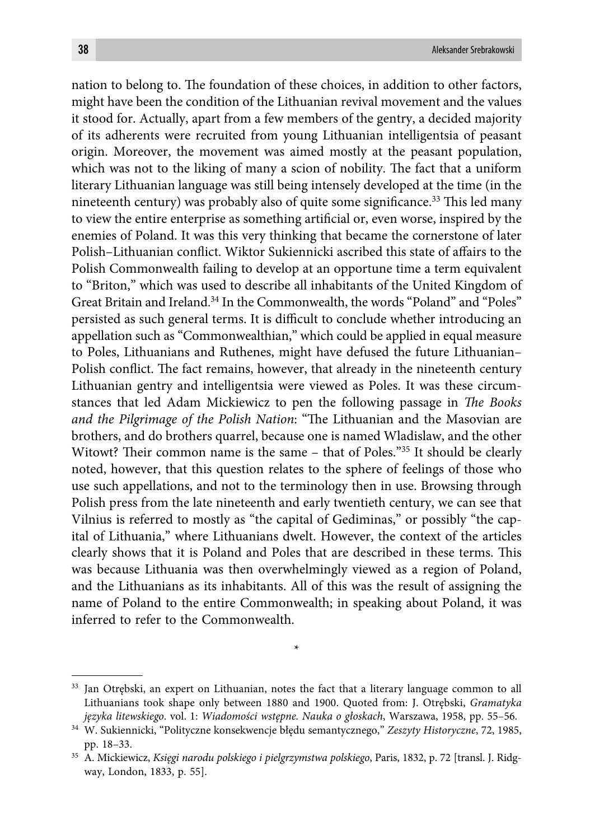nation to belong to. The foundation of these choices, in addition to other factors, might have been the condition of the Lithuanian revival movement and the values it stood for. Actually, apart from a few members of the gentry, a decided majority of its adherents were recruited from young Lithuanian intelligentsia of peasant origin. Moreover, the movement was aimed mostly at the peasant population, which was not to the liking of many a scion of nobility. The fact that a uniform literary Lithuanian language was still being intensely developed at the time (in the nineteenth century) was probably also of quite some significance.<sup>33</sup> This led many to view the entire enterprise as something artificial or, even worse, inspired by the enemies of Poland. It was this very thinking that became the cornerstone of later Polish–Lithuanian conflict. Wiktor Sukiennicki ascribed this state of affairs to the Polish Commonwealth failing to develop at an opportune time a term equivalent to "Briton," which was used to describe all inhabitants of the United Kingdom of Great Britain and Ireland.34 In the Commonwealth, the words "Poland" and "Poles" persisted as such general terms. It is difficult to conclude whether introducing an appellation such as "Commonwealthian," which could be applied in equal measure to Poles, Lithuanians and Ruthenes, might have defused the future Lithuanian– Polish conflict. The fact remains, however, that already in the nineteenth century Lithuanian gentry and intelligentsia were viewed as Poles. It was these circumstances that led Adam Mickiewicz to pen the following passage in *The Books* and the Pilgrimage of the Polish Nation: "The Lithuanian and the Masovian are brothers, and do brothers quarrel, because one is named Wladislaw, and the other Witowt? Their common name is the same – that of Poles."<sup>35</sup> It should be clearly noted, however, that this question relates to the sphere of feelings of those who use such appellations, and not to the terminology then in use. Browsing through Polish press from the late nineteenth and early twentieth century, we can see that Vilnius is referred to mostly as "the capital of Gediminas," or possibly "the capital of Lithuania," where Lithuanians dwelt. However, the context of the articles clearly shows that it is Poland and Poles that are described in these terms. This was because Lithuania was then overwhelmingly viewed as a region of Poland, and the Lithuanians as its inhabitants. All of this was the result of assigning the name of Poland to the entire Commonwealth; in speaking about Poland, it was inferred to refer to the Commonwealth.

\*

<sup>33</sup> Jan Otrębski, an expert on Lithuanian, notes the fact that a literary language common to all Lithuanians took shape only between 1880 and 1900. Quoted from: J. Otrębski, *Gramatyka języka litewskiego*. vol. 1: *Wiadomości wstępne. Nauka o głoskach*, Warszawa, 1958, pp. 55–56.

<sup>34</sup> W. Sukiennicki, "Polityczne konsekwencje błędu semantycznego," *Zeszyty Historyczne*, 72, 1985, pp. 18–33.

<sup>35</sup> A. Mickiewicz, *Księgi narodu polskiego i pielgrzymstwa polskiego*, Paris, 1832, p. 72 [transl. J. Ridgway, London, 1833, p. 55].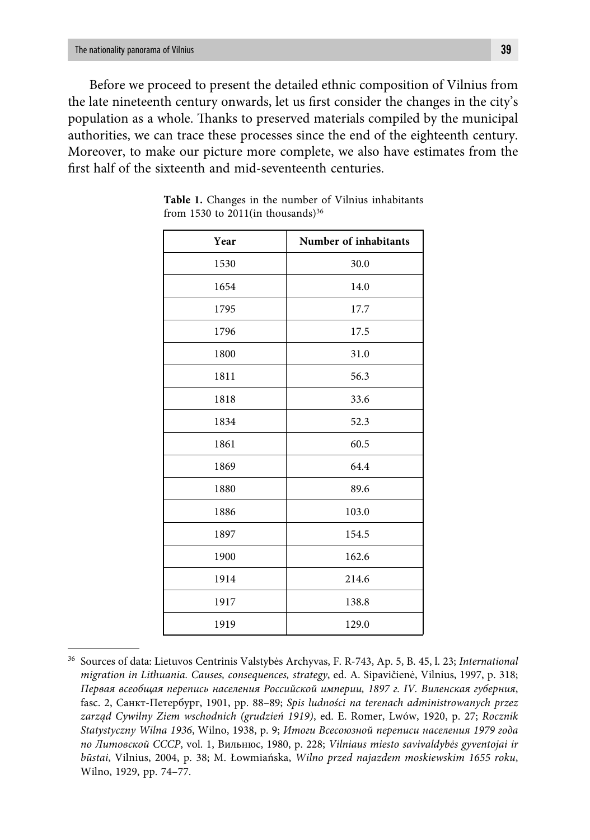Before we proceed to present the detailed ethnic composition of Vilnius from the late nineteenth century onwards, let us first consider the changes in the city's population as a whole. Thanks to preserved materials compiled by the municipal authorities, we can trace these processes since the end of the eighteenth century. Moreover, to make our picture more complete, we also have estimates from the first half of the sixteenth and mid-seventeenth centuries.

| Year | Number of inhabitants |  |  |  |
|------|-----------------------|--|--|--|
| 1530 | 30.0                  |  |  |  |
| 1654 | 14.0                  |  |  |  |
| 1795 | 17.7                  |  |  |  |
| 1796 | 17.5                  |  |  |  |
| 1800 | 31.0                  |  |  |  |
| 1811 | 56.3                  |  |  |  |
| 1818 | 33.6                  |  |  |  |
| 1834 | 52.3                  |  |  |  |
| 1861 | 60.5                  |  |  |  |
| 1869 | 64.4                  |  |  |  |
| 1880 | 89.6                  |  |  |  |
| 1886 | 103.0                 |  |  |  |
| 1897 | 154.5                 |  |  |  |
| 1900 | 162.6                 |  |  |  |
| 1914 | 214.6                 |  |  |  |
| 1917 | 138.8                 |  |  |  |
| 1919 | 129.0                 |  |  |  |

**Table 1.** Changes in the number of Vilnius inhabitants from 1530 to 2011(in thousands) $36$ 

<sup>36</sup> Sources of data: Lietuvos Centrinis Valstybės Archyvas, F. R-743, Ap. 5, B. 45, l. 23; *International migration in Lithuania. Causes, consequences, strategy*, ed. A. Sipavičienė, Vilnius, 1997, p. 318; *Первая всеобщая перепись населения Российской империи, 1897 г. IV. Виленская губерния*, fasc. 2, Санкт-Петербург, 1901, pp. 88–89; *Spis ludności na terenach administrowanych przez zarząd Cywilny Ziem wschodnich (grudzień 1919)*, ed. E. Romer, Lwów, 1920, p. 27; *Rocznik Statystyczny Wilna 1936*, Wilno, 1938, p. 9; *Итоги Всесоюзной переписи населения 1979 года по Литовской СССР*, vol. 1, Вильнюс, 1980, p. 228; *Vilniaus miesto savivaldybės gyventojai ir būstai*, Vilnius, 2004, p. 38; M. Łowmiańska, *Wilno przed najazdem moskiewskim 1655 roku*, Wilno, 1929, pp. 74–77.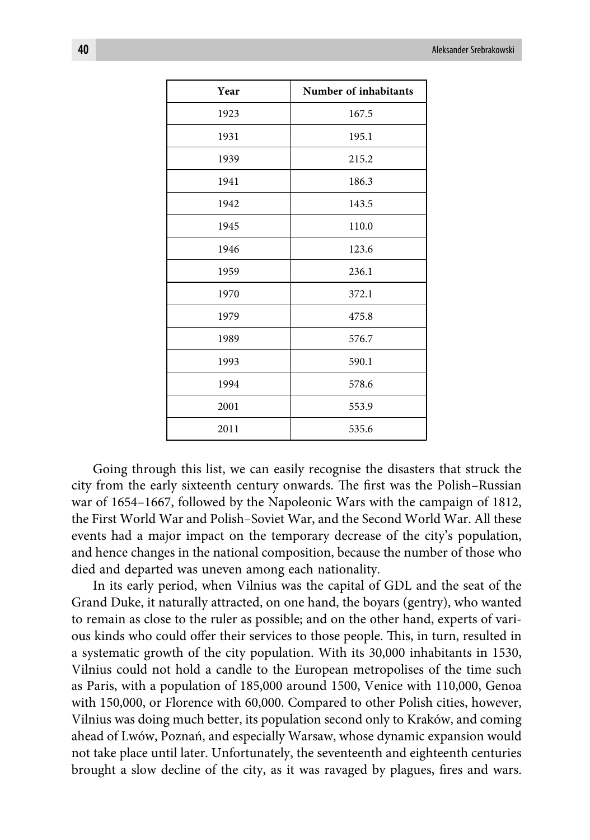| Year | Number of inhabitants |  |  |  |  |
|------|-----------------------|--|--|--|--|
| 1923 | 167.5                 |  |  |  |  |
| 1931 | 195.1                 |  |  |  |  |
| 1939 | 215.2                 |  |  |  |  |
| 1941 | 186.3                 |  |  |  |  |
| 1942 | 143.5                 |  |  |  |  |
| 1945 | 110.0                 |  |  |  |  |
| 1946 | 123.6                 |  |  |  |  |
| 1959 | 236.1                 |  |  |  |  |
| 1970 | 372.1                 |  |  |  |  |
| 1979 | 475.8                 |  |  |  |  |
| 1989 | 576.7                 |  |  |  |  |
| 1993 | 590.1                 |  |  |  |  |
| 1994 | 578.6                 |  |  |  |  |
| 2001 | 553.9                 |  |  |  |  |
| 2011 | 535.6                 |  |  |  |  |

Going through this list, we can easily recognise the disasters that struck the city from the early sixteenth century onwards. The first was the Polish–Russian war of 1654–1667, followed by the Napoleonic Wars with the campaign of 1812, the First World War and Polish–Soviet War, and the Second World War. All these events had a major impact on the temporary decrease of the city's population, and hence changes in the national composition, because the number of those who died and departed was uneven among each nationality.

In its early period, when Vilnius was the capital of GDL and the seat of the Grand Duke, it naturally attracted, on one hand, the boyars (gentry), who wanted to remain as close to the ruler as possible; and on the other hand, experts of various kinds who could offer their services to those people. This, in turn, resulted in a systematic growth of the city population. With its 30,000 inhabitants in 1530, Vilnius could not hold a candle to the European metropolises of the time such as Paris, with a population of 185,000 around 1500, Venice with 110,000, Genoa with 150,000, or Florence with 60,000. Compared to other Polish cities, however, Vilnius was doing much better, its population second only to Kraków, and coming ahead of Lwów, Poznań, and especially Warsaw, whose dynamic expansion would not take place until later. Unfortunately, the seventeenth and eighteenth centuries brought a slow decline of the city, as it was ravaged by plagues, fires and wars.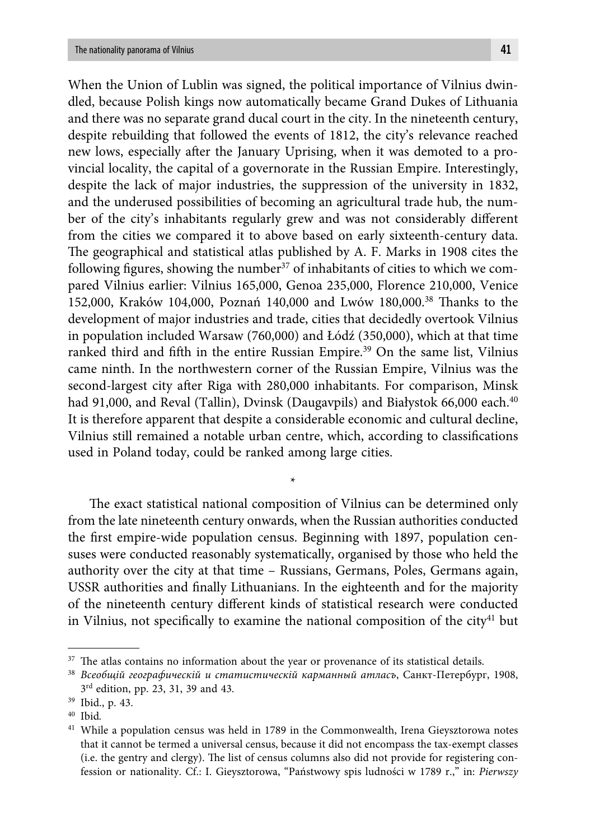When the Union of Lublin was signed, the political importance of Vilnius dwindled, because Polish kings now automatically became Grand Dukes of Lithuania and there was no separate grand ducal court in the city. In the nineteenth century, despite rebuilding that followed the events of 1812, the city's relevance reached new lows, especially after the January Uprising, when it was demoted to a provincial locality, the capital of a governorate in the Russian Empire. Interestingly, despite the lack of major industries, the suppression of the university in 1832, and the underused possibilities of becoming an agricultural trade hub, the number of the city's inhabitants regularly grew and was not considerably different from the cities we compared it to above based on early sixteenth-century data. The geographical and statistical atlas published by A. F. Marks in 1908 cites the following figures, showing the number<sup>37</sup> of inhabitants of cities to which we compared Vilnius earlier: Vilnius 165,000, Genoa 235,000, Florence 210,000, Venice 152,000, Kraków 104,000, Poznań 140,000 and Lwów 180,000.<sup>38</sup> Thanks to the development of major industries and trade, cities that decidedly overtook Vilnius in population included Warsaw (760,000) and Łódź (350,000), which at that time ranked third and fifth in the entire Russian Empire.<sup>39</sup> On the same list, Vilnius came ninth. In the northwestern corner of the Russian Empire, Vilnius was the second-largest city after Riga with 280,000 inhabitants. For comparison, Minsk had 91,000, and Reval (Tallin), Dvinsk (Daugavpils) and Białystok 66,000 each.<sup>40</sup> It is therefore apparent that despite a considerable economic and cultural decline, Vilnius still remained a notable urban centre, which, according to classifications used in Poland today, could be ranked among large cities.

The exact statistical national composition of Vilnius can be determined only from the late nineteenth century onwards, when the Russian authorities conducted the first empire-wide population census. Beginning with 1897, population censuses were conducted reasonably systematically, organised by those who held the authority over the city at that time – Russians, Germans, Poles, Germans again, USSR authorities and finally Lithuanians. In the eighteenth and for the majority of the nineteenth century different kinds of statistical research were conducted in Vilnius, not specifically to examine the national composition of the city<sup>41</sup> but

\*

 $37$  The atlas contains no information about the year or provenance of its statistical details.

<sup>38</sup> *Всеобщій географическій и статистическій карманный атласъ*, Санкт-Петербург, 1908, 3rd edition, pp. 23, 31, 39 and 43.

<sup>39</sup> Ibid., p. 43.

<sup>40</sup> Ibid*.*

<sup>&</sup>lt;sup>41</sup> While a population census was held in 1789 in the Commonwealth, Irena Gieysztorowa notes that it cannot be termed a universal census, because it did not encompass the tax-exempt classes (i.e. the gentry and clergy). The list of census columns also did not provide for registering confession or nationality. Cf.: I. Gieysztorowa, "Państwowy spis ludności w 1789 r.," in: *Pierwszy*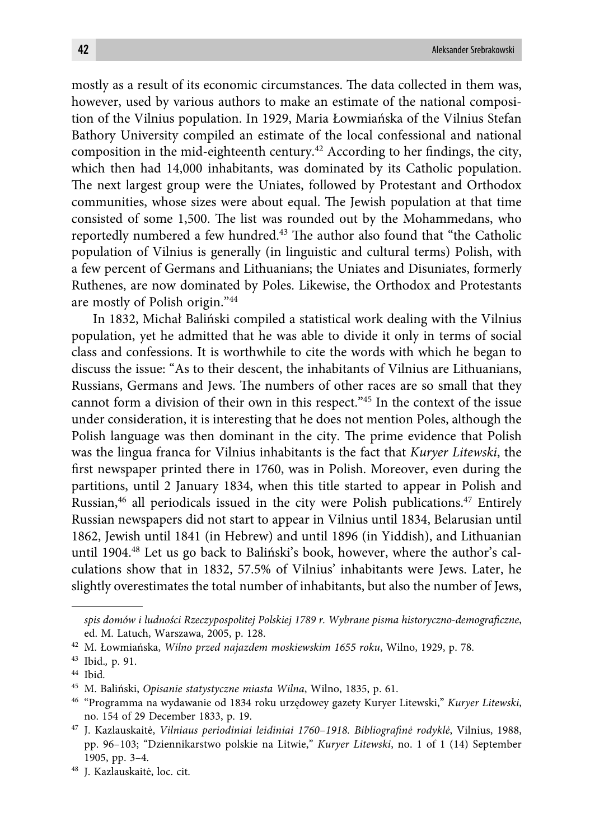mostly as a result of its economic circumstances. The data collected in them was, however, used by various authors to make an estimate of the national composition of the Vilnius population. In 1929, Maria Łowmiańska of the Vilnius Stefan Bathory University compiled an estimate of the local confessional and national composition in the mid-eighteenth century.<sup>42</sup> According to her findings, the city, which then had 14,000 inhabitants, was dominated by its Catholic population. The next largest group were the Uniates, followed by Protestant and Orthodox communities, whose sizes were about equal. The Jewish population at that time consisted of some 1,500. The list was rounded out by the Mohammedans, who reportedly numbered a few hundred.<sup>43</sup> The author also found that "the Catholic population of Vilnius is generally (in linguistic and cultural terms) Polish, with a few percent of Germans and Lithuanians; the Uniates and Disuniates, formerly Ruthenes, are now dominated by Poles. Likewise, the Orthodox and Protestants are mostly of Polish origin."44

In 1832, Michał Baliński compiled a statistical work dealing with the Vilnius population, yet he admitted that he was able to divide it only in terms of social class and confessions. It is worthwhile to cite the words with which he began to discuss the issue: "As to their descent, the inhabitants of Vilnius are Lithuanians, Russians, Germans and Jews. The numbers of other races are so small that they cannot form a division of their own in this respect."45 In the context of the issue under consideration, it is interesting that he does not mention Poles, although the Polish language was then dominant in the city. The prime evidence that Polish was the lingua franca for Vilnius inhabitants is the fact that *Kuryer Litewski*, the first newspaper printed there in 1760, was in Polish. Moreover, even during the partitions, until 2 January 1834, when this title started to appear in Polish and Russian, $46$  all periodicals issued in the city were Polish publications. $47$  Entirely Russian newspapers did not start to appear in Vilnius until 1834, Belarusian until 1862, Jewish until 1841 (in Hebrew) and until 1896 (in Yiddish), and Lithuanian until 1904.<sup>48</sup> Let us go back to Baliński's book, however, where the author's calculations show that in 1832, 57.5% of Vilnius' inhabitants were Jews. Later, he slightly overestimates the total number of inhabitants, but also the number of Jews,

*spis domów i ludności Rzeczypospolitej Polskiej 1789 r. Wybrane pisma historyczno-demografi czne*, ed. M. Latuch, Warszawa, 2005, p. 128.

<sup>42</sup> M. Łowmiańska, *Wilno przed najazdem moskiewskim 1655 roku*, Wilno, 1929, p. 78.

<sup>43</sup> Ibid.*,* p. 91.

<sup>44</sup> Ibid*.*

<sup>45</sup> M. Baliński, *Opisanie statystyczne miasta Wilna*, Wilno, 1835, p. 61.

<sup>46 &</sup>quot;Programma na wydawanie od 1834 roku urzędowey gazety Kuryer Litewski," *Kuryer Litewski*, no. 154 of 29 December 1833, p. 19.

<sup>&</sup>lt;sup>47</sup> J. Kazlauskaitė, *Vilniaus periodiniai leidiniai 1760-1918. Bibliografinė rodyklė*, Vilnius, 1988, pp. 96–103; "Dziennikarstwo polskie na Litwie," *Kuryer Litewski*, no. 1 of 1 (14) September 1905, pp. 3–4.

<sup>48</sup> J. Kazlauskaitė, loc. cit.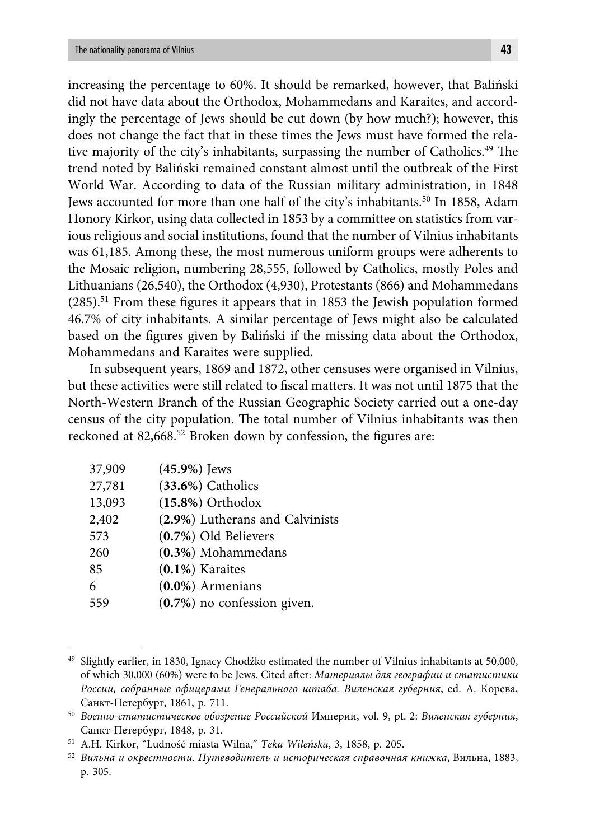increasing the percentage to 60%. It should be remarked, however, that Baliński did not have data about the Orthodox, Mohammedans and Karaites, and accordingly the percentage of Jews should be cut down (by how much?); however, this does not change the fact that in these times the Jews must have formed the relative majority of the city's inhabitants, surpassing the number of Catholics.<sup>49</sup> The trend noted by Baliński remained constant almost until the outbreak of the First World War. According to data of the Russian military administration, in 1848 Jews accounted for more than one half of the city's inhabitants.50 In 1858, Adam Honory Kirkor, using data collected in 1853 by a committee on statistics from various religious and social institutions, found that the number of Vilnius inhabitants was 61,185. Among these, the most numerous uniform groups were adherents to the Mosaic religion, numbering 28,555, followed by Catholics, mostly Poles and Lithuanians (26,540), the Orthodox (4,930), Protestants (866) and Mohammedans  $(285).$ <sup>51</sup> From these figures it appears that in 1853 the Jewish population formed 46.7% of city inhabitants. A similar percentage of Jews might also be calculated based on the figures given by Baliński if the missing data about the Orthodox,

In subsequent years, 1869 and 1872, other censuses were organised in Vilnius, but these activities were still related to fiscal matters. It was not until 1875 that the North-Western Branch of the Russian Geographic Society carried out a one-day census of the city population. The total number of Vilnius inhabitants was then reckoned at 82,668.<sup>52</sup> Broken down by confession, the figures are:

| 37,909 | $(45.9\%)$ Jews                 |
|--------|---------------------------------|
| 27,781 | $(33.6%)$ Catholics             |
| 13,093 | $(15.8\%)$ Orthodox             |
| 2,402  | (2.9%) Lutherans and Calvinists |
| 573    | (0.7%) Old Believers            |
| 260    | $(0.3\%)$ Mohammedans           |
| 85     | $(0.1\%)$ Karaites              |
| 6      | $(0.0\%)$ Armenians             |
| 559    | $(0.7%)$ no confession given.   |

Mohammedans and Karaites were supplied.

<sup>49</sup> Slightly earlier, in 1830, Ignacy Chodźko estimated the number of Vilnius inhabitants at 50,000, of which 30,000 (60%) were to be Jews. Cited aft er: *Материалы для географии и статистики России, собранные офицерами Генерального штаба. Виленская губерния*, ed. А. Корева, Санкт-Петербург, 1861, p. 711.

<sup>50</sup> *Военно-статистическое обозрение Российской* Империи, vol. 9, pt. 2: *Виленская губерния*, Санкт-Петербург, 1848, p. 31.

<sup>51</sup> A.H. Kirkor, "Ludność miasta Wilna," *Teka Wileńska*, 3, 1858, p. 205.

<sup>52</sup> *Вильна и окрестности. Путеводитель и историческая справочная книжка*, Вильна, 1883, p. 305.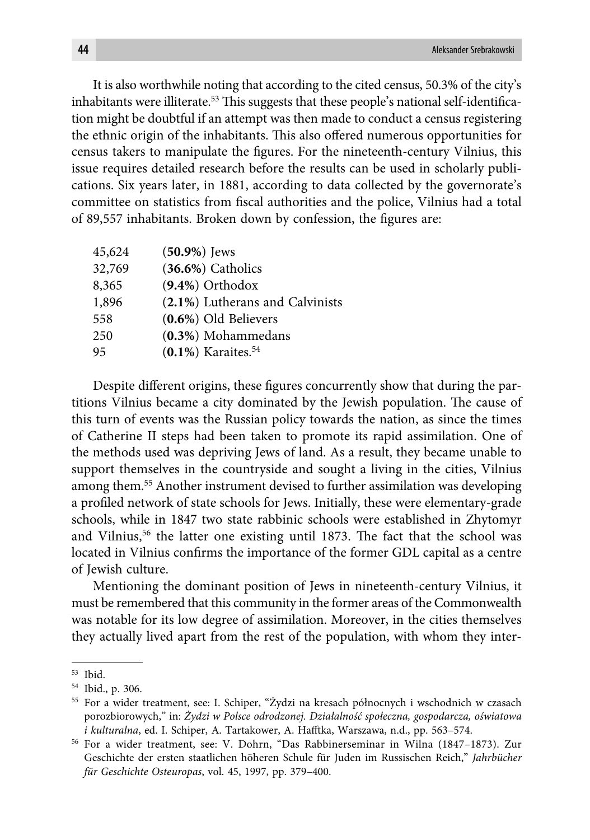It is also worthwhile noting that according to the cited census, 50.3% of the city's inhabitants were illiterate.<sup>53</sup> This suggests that these people's national self-identification might be doubtful if an attempt was then made to conduct a census registering the ethnic origin of the inhabitants. This also offered numerous opportunities for census takers to manipulate the figures. For the nineteenth-century Vilnius, this issue requires detailed research before the results can be used in scholarly publications. Six years later, in 1881, according to data collected by the governorate's committee on statistics from fiscal authorities and the police, Vilnius had a total of 89,557 inhabitants. Broken down by confession, the figures are:

| 45,624 | $(50.9\%)$ Jews                   |
|--------|-----------------------------------|
| 32,769 | $(36.6%)$ Catholics               |
| 8,365  | $(9.4\%)$ Orthodox                |
| 1,896  | (2.1%) Lutherans and Calvinists   |
| 558    | $(0.6\%)$ Old Believers           |
| 250    | (0.3%) Mohammedans                |
| 95     | $(0.1\%)$ Karaites. <sup>54</sup> |

Despite different origins, these figures concurrently show that during the partitions Vilnius became a city dominated by the Jewish population. The cause of this turn of events was the Russian policy towards the nation, as since the times of Catherine II steps had been taken to promote its rapid assimilation. One of the methods used was depriving Jews of land. As a result, they became unable to support themselves in the countryside and sought a living in the cities, Vilnius among them.55 Another instrument devised to further assimilation was developing a profiled network of state schools for Jews. Initially, these were elementary-grade schools, while in 1847 two state rabbinic schools were established in Zhytomyr and Vilnius,<sup>56</sup> the latter one existing until 1873. The fact that the school was located in Vilnius confirms the importance of the former GDL capital as a centre of Jewish culture.

Mentioning the dominant position of Jews in nineteenth-century Vilnius, it must be remembered that this community in the former areas of the Commonwealth was notable for its low degree of assimilation. Moreover, in the cities themselves they actually lived apart from the rest of the population, with whom they inter-

<sup>53</sup> Ibid.

<sup>54</sup> Ibid., p. 306.

<sup>55</sup> For a wider treatment, see: I. Schiper, "Żydzi na kresach północnych i wschodnich w czasach porozbiorowych," in: *Żydzi w Polsce odrodzonej. Działalność społeczna, gospodarcza, oświatowa i kulturalna*, ed. I. Schiper, A. Tartakower, A. Hafftka, Warszawa, n.d., pp. 563-574.

<sup>56</sup> For a wider treatment, see: V. Dohrn, "Das Rabbinerseminar in Wilna (1847–1873). Zur Geschichte der ersten staatlichen höheren Schule für Juden im Russischen Reich," *Jahrbücher für Geschichte Osteuropas*, vol. 45, 1997, pp. 379–400.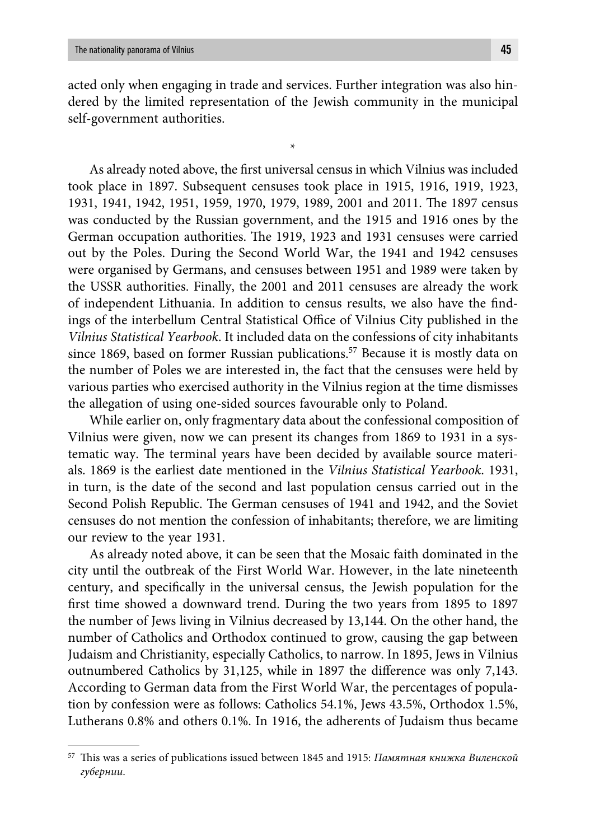acted only when engaging in trade and services. Further integration was also hindered by the limited representation of the Jewish community in the municipal self-government authorities.

\*

As already noted above, the first universal census in which Vilnius was included took place in 1897. Subsequent censuses took place in 1915, 1916, 1919, 1923, 1931, 1941, 1942, 1951, 1959, 1970, 1979, 1989, 2001 and 2011. The 1897 census was conducted by the Russian government, and the 1915 and 1916 ones by the German occupation authorities. The 1919, 1923 and 1931 censuses were carried out by the Poles. During the Second World War, the 1941 and 1942 censuses were organised by Germans, and censuses between 1951 and 1989 were taken by the USSR authorities. Finally, the 2001 and 2011 censuses are already the work of independent Lithuania. In addition to census results, we also have the findings of the interbellum Central Statistical Office of Vilnius City published in the *Vilnius Statistical Yearbook*. It included data on the confessions of city inhabitants since 1869, based on former Russian publications.<sup>57</sup> Because it is mostly data on the number of Poles we are interested in, the fact that the censuses were held by various parties who exercised authority in the Vilnius region at the time dismisses the allegation of using one-sided sources favourable only to Poland.

While earlier on, only fragmentary data about the confessional composition of Vilnius were given, now we can present its changes from 1869 to 1931 in a systematic way. The terminal years have been decided by available source materials. 1869 is the earliest date mentioned in the *Vilnius Statistical Yearbook*. 1931, in turn, is the date of the second and last population census carried out in the Second Polish Republic. The German censuses of 1941 and 1942, and the Soviet censuses do not mention the confession of inhabitants; therefore, we are limiting our review to the year 1931.

As already noted above, it can be seen that the Mosaic faith dominated in the city until the outbreak of the First World War. However, in the late nineteenth century, and specifically in the universal census, the Jewish population for the first time showed a downward trend. During the two years from 1895 to 1897 the number of Jews living in Vilnius decreased by 13,144. On the other hand, the number of Catholics and Orthodox continued to grow, causing the gap between Judaism and Christianity, especially Catholics, to narrow. In 1895, Jews in Vilnius outnumbered Catholics by 31,125, while in 1897 the difference was only 7,143. According to German data from the First World War, the percentages of population by confession were as follows: Catholics 54.1%, Jews 43.5%, Orthodox 1.5%, Lutherans 0.8% and others 0.1%. In 1916, the adherents of Judaism thus became

<sup>&</sup>lt;sup>57</sup> This was a series of publications issued between 1845 and 1915: *Памятная книжка Виленской губернии*.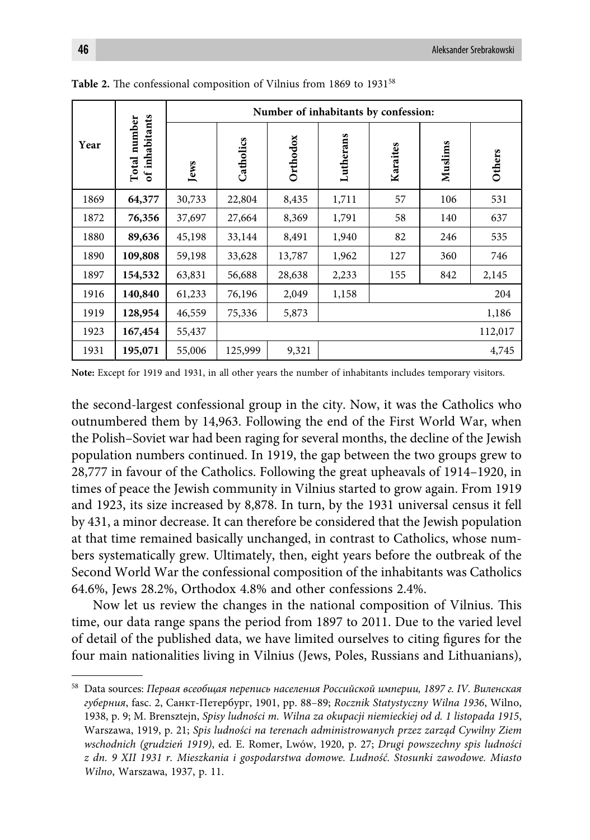|      |                                | Number of inhabitants by confession: |           |          |           |          |         |         |  |
|------|--------------------------------|--------------------------------------|-----------|----------|-----------|----------|---------|---------|--|
| Year | of inhabitants<br>Total number | Jews                                 | Catholics | Orthodox | Lutherans | Karaites | Muslims | Others  |  |
| 1869 | 64,377                         | 30,733                               | 22,804    | 8,435    | 1,711     | 57       | 106     | 531     |  |
| 1872 | 76,356                         | 37,697                               | 27,664    | 8,369    | 1,791     | 58       | 140     | 637     |  |
| 1880 | 89,636                         | 45,198                               | 33,144    | 8,491    | 1,940     | 82       | 246     | 535     |  |
| 1890 | 109,808                        | 59,198                               | 33,628    | 13,787   | 1,962     | 127      | 360     | 746     |  |
| 1897 | 154,532                        | 63,831                               | 56,688    | 28,638   | 2,233     | 155      | 842     | 2,145   |  |
| 1916 | 140,840                        | 61,233                               | 76,196    | 2,049    | 1,158     |          |         | 204     |  |
| 1919 | 128,954                        | 46,559                               | 75,336    | 5,873    |           |          |         | 1,186   |  |
| 1923 | 167,454                        | 55,437                               |           |          |           |          |         | 112,017 |  |
| 1931 | 195,071                        | 55,006                               | 125,999   | 9,321    |           |          |         | 4,745   |  |

Table 2. The confessional composition of Vilnius from 1869 to 1931<sup>58</sup>

**Note:** Except for 1919 and 1931, in all other years the number of inhabitants includes temporary visitors.

the second-largest confessional group in the city. Now, it was the Catholics who outnumbered them by 14,963. Following the end of the First World War, when the Polish–Soviet war had been raging for several months, the decline of the Jewish population numbers continued. In 1919, the gap between the two groups grew to 28,777 in favour of the Catholics. Following the great upheavals of 1914–1920, in times of peace the Jewish community in Vilnius started to grow again. From 1919 and 1923, its size increased by 8,878. In turn, by the 1931 universal census it fell by 431, a minor decrease. It can therefore be considered that the Jewish population at that time remained basically unchanged, in contrast to Catholics, whose numbers systematically grew. Ultimately, then, eight years before the outbreak of the Second World War the confessional composition of the inhabitants was Catholics 64.6%, Jews 28.2%, Orthodox 4.8% and other confessions 2.4%.

Now let us review the changes in the national composition of Vilnius. This time, our data range spans the period from 1897 to 2011. Due to the varied level of detail of the published data, we have limited ourselves to citing figures for the four main nationalities living in Vilnius (Jews, Poles, Russians and Lithuanians),

<sup>58</sup> Data sources: *Первая всеобщая перепись населения Российской империи, 1897 г. IV. Виленская губерния*, fasc. 2, Санкт-Петербург, 1901, pp. 88–89; *Rocznik Statystyczny Wilna 1936*, Wilno, 1938, p. 9; M. Brensztejn, *Spisy ludności m. Wilna za okupacji niemieckiej od d. 1 listopada 1915*, Warszawa, 1919, p. 21; *Spis ludności na terenach administrowanych przez zarząd Cywilny Ziem wschodnich (grudzień 1919)*, ed. E. Romer, Lwów, 1920, p. 27; *Drugi powszechny spis ludności z dn. 9 XII 1931 r. Mieszkania i gospodarstwa domowe. Ludność. Stosunki zawodowe. Miasto Wilno*, Warszawa, 1937, p. 11.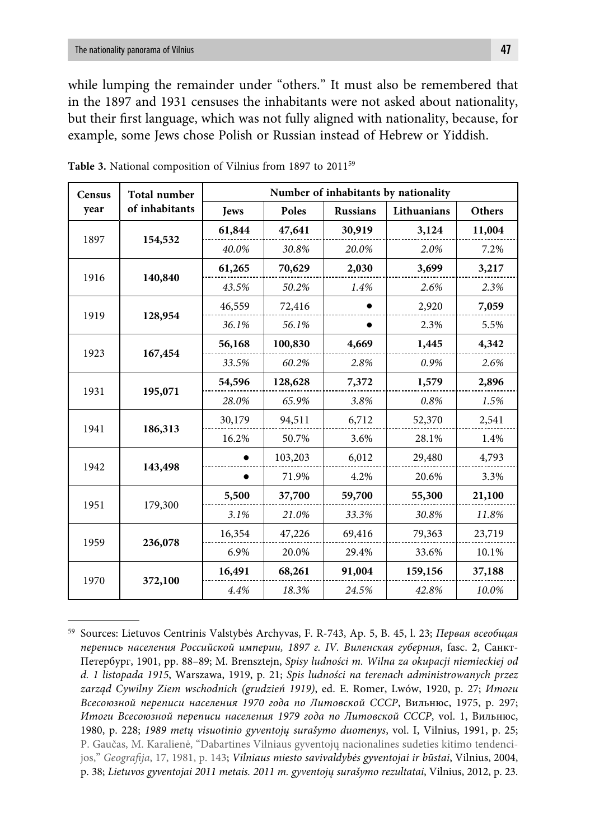while lumping the remainder under "others." It must also be remembered that in the 1897 and 1931 censuses the inhabitants were not asked about nationality, but their first language, which was not fully aligned with nationality, because, for example, some Jews chose Polish or Russian instead of Hebrew or Yiddish.

| <b>Census</b> | <b>Total number</b> | Number of inhabitants by nationality |         |                 |             |               |  |
|---------------|---------------------|--------------------------------------|---------|-----------------|-------------|---------------|--|
| year          | of inhabitants      | <b>Jews</b>                          | Poles   | <b>Russians</b> | Lithuanians | <b>Others</b> |  |
|               | 1897<br>154,532     | 61,844                               | 47,641  | 30,919          | 3,124       | 11,004        |  |
|               |                     | 40.0%                                | 30.8%   | 20.0%           | 2.0%        | 7.2%          |  |
|               |                     | 61,265                               | 70,629  | 2,030           | 3,699       | 3,217         |  |
| 1916          | 140,840             | 43.5%                                | 50.2%   | 1.4%            | 2.6%        | 2.3%          |  |
|               |                     | 46,559                               | 72,416  |                 | 2,920       | 7,059         |  |
| 1919          | 128,954             | 36.1%                                | 56.1%   |                 | 2.3%        | 5.5%          |  |
|               |                     | 56,168                               | 100,830 | 4,669           | 1,445       | 4,342         |  |
| 1923          | 167,454             | 33.5%                                | 60.2%   | 2.8%            | 0.9%        | 2.6%          |  |
|               |                     | 54,596                               | 128,628 | 7,372           | 1,579       | 2,896         |  |
| 1931          | 195,071             | 28.0%                                | 65.9%   | 3.8%            | 0.8%        | 1.5%          |  |
|               |                     | 30,179                               | 94,511  | 6,712           | 52,370      | 2,541         |  |
| 1941          | 186,313             | 16.2%                                | 50.7%   | 3.6%            | 28.1%       | 1.4%          |  |
|               |                     |                                      | 103,203 | 6,012           | 29,480      | 4,793         |  |
| 1942          | 143,498             |                                      | 71.9%   | 4.2%            | 20.6%       | 3.3%          |  |
|               | 179,300             | 5,500                                | 37,700  | 59,700          | 55,300      | 21,100        |  |
| 1951          |                     | 3.1%                                 | 21.0%   | 33.3%           | 30.8%       | 11.8%         |  |
|               | 236,078             | 16,354                               | 47,226  | 69,416          | 79,363      | 23,719        |  |
| 1959          |                     | 6.9%                                 | 20.0%   | 29.4%           | 33.6%       | 10.1%         |  |
|               |                     | 16,491                               | 68,261  | 91,004          | 159,156     | 37,188        |  |
| 1970          | 372,100             | 4.4%                                 | 18.3%   | 24.5%           | 42.8%       | 10.0%         |  |

**Table 3.** National composition of Vilnius from 1897 to 201159

<sup>59</sup> Sources: Lietuvos Centrinis Valstybės Archyvas, F. R-743, Ap. 5, B. 45, l. 23; *Первая всеобщая перепись населения Российской империи, 1897 г. IV. Виленская губерния*, fasc. 2, Санкт-Петербург, 1901, pp. 88–89; M. Brensztejn, *Spisy ludności m. Wilna za okupacji niemieckiej od d. 1 listopada 1915*, Warszawa, 1919, p. 21; *Spis ludności na terenach administrowanych przez zarząd Cywilny Ziem wschodnich (grudzień 1919)*, ed. E. Romer, Lwów, 1920, p. 27; *Итоги Всесоюзной переписи населения 1970 года по Литовской СССР*, Вильнюс, 1975, p. 297; *Итоги Всесоюзной переписи населения 1979 года по Литовской СССР*, vol. 1, Вильнюс, 1980, p. 228; *1989 metų visuotinio gyventojų surašymo duomenys*, vol. I, Vilnius, 1991, p. 25; P. Gaučas, M. Karalienė, "Dabartines Vilniaus gyventojų nacionalines sudeties kitimo tendencijos," *Geografi ja*, 17, 1981, p. 143; *Vilniaus miesto savivaldybės gyventojai ir būstai*, Vilnius, 2004, p. 38; *Lietuvos gyventojai 2011 metais. 2011 m. gyventojų surašymo rezultatai*, Vilnius, 2012, p. 23.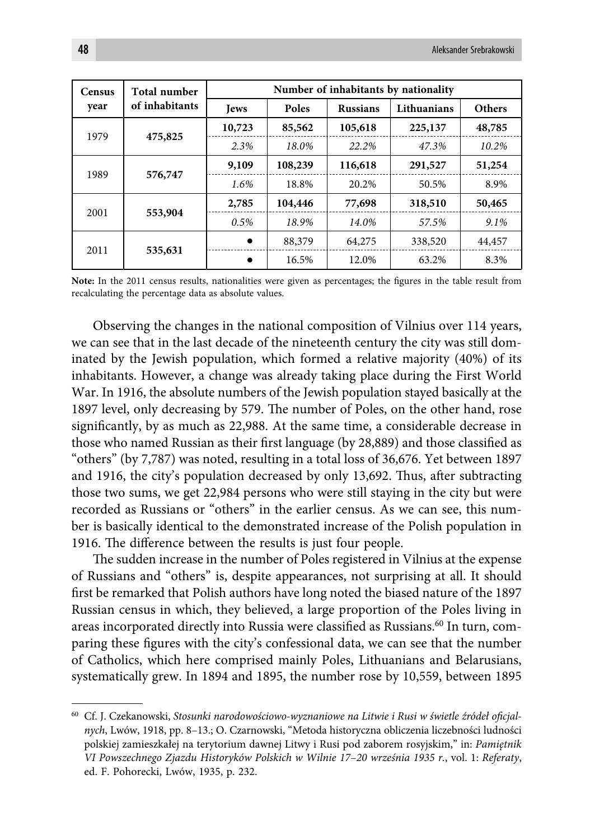| <b>Census</b>   | Total number    | Number of inhabitants by nationality           |         |             |               |        |  |
|-----------------|-----------------|------------------------------------------------|---------|-------------|---------------|--------|--|
| year            | of inhabitants  | <b>Poles</b><br><b>Russians</b><br><b>Jews</b> |         | Lithuanians | <b>Others</b> |        |  |
| 1979            |                 | 10,723                                         | 85,562  | 105,618     | 225,137       | 48,785 |  |
| 475,825         |                 | 2.3%                                           | 18.0%   | 22.2%       | 47.3%         | 10.2%  |  |
|                 | 576,747<br>1989 | 9,109                                          | 108,239 | 116,618     | 291,527       | 51,254 |  |
|                 |                 | 1.6%                                           | 18.8%   | 20.2%       | 50.5%         | 8.9%   |  |
| 2001<br>553,904 |                 | 2,785                                          | 104,446 | 77,698      | 318,510       | 50,465 |  |
|                 |                 | 0.5%                                           | 18.9%   | 14.0%       | 57.5%         | 9.1%   |  |
| 2011            | 535,631         | $\bullet$                                      | 88,379  | 64,275      | 338,520       | 44,457 |  |
|                 |                 |                                                | 16.5%   | 12.0%       | 63.2%         | 8.3%   |  |

Note: In the 2011 census results, nationalities were given as percentages; the figures in the table result from recalculating the percentage data as absolute values.

Observing the changes in the national composition of Vilnius over 114 years, we can see that in the last decade of the nineteenth century the city was still dominated by the Jewish population, which formed a relative majority (40%) of its inhabitants. However, a change was already taking place during the First World War. In 1916, the absolute numbers of the Jewish population stayed basically at the 1897 level, only decreasing by 579. The number of Poles, on the other hand, rose significantly, by as much as 22,988. At the same time, a considerable decrease in those who named Russian as their first language (by 28,889) and those classified as "others" (by 7,787) was noted, resulting in a total loss of 36,676. Yet between 1897 and 1916, the city's population decreased by only 13,692. Thus, after subtracting those two sums, we get 22,984 persons who were still staying in the city but were recorded as Russians or "others" in the earlier census. As we can see, this number is basically identical to the demonstrated increase of the Polish population in 1916. The difference between the results is just four people.

The sudden increase in the number of Poles registered in Vilnius at the expense of Russians and "others" is, despite appearances, not surprising at all. It should first be remarked that Polish authors have long noted the biased nature of the 1897 Russian census in which, they believed, a large proportion of the Poles living in areas incorporated directly into Russia were classified as Russians.<sup>60</sup> In turn, comparing these figures with the city's confessional data, we can see that the number of Catholics, which here comprised mainly Poles, Lithuanians and Belarusians, systematically grew. In 1894 and 1895, the number rose by 10,559, between 1895

<sup>&</sup>lt;sup>60</sup> Cf. J. Czekanowski, Stosunki narodowościowo-wyznaniowe na Litwie i Rusi w świetle źródeł oficjal*nych*, Lwów, 1918, pp. 8–13.; O. Czarnowski, "Metoda historyczna obliczenia liczebności ludności polskiej zamieszkałej na terytorium dawnej Litwy i Rusi pod zaborem rosyjskim," in: *Pamiętnik VI Powszechnego Zjazdu Historyków Polskich w Wilnie 17*–*20 września 1935 r.*, vol. 1: *Referaty*, ed. F. Pohorecki, Lwów, 1935, p. 232.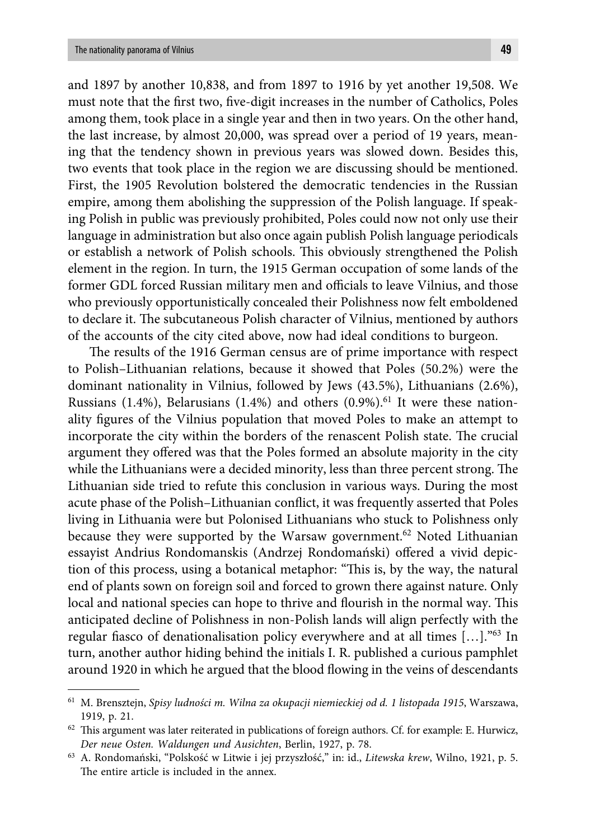and 1897 by another 10,838, and from 1897 to 1916 by yet another 19,508. We must note that the first two, five-digit increases in the number of Catholics, Poles among them, took place in a single year and then in two years. On the other hand, the last increase, by almost 20,000, was spread over a period of 19 years, meaning that the tendency shown in previous years was slowed down. Besides this, two events that took place in the region we are discussing should be mentioned. First, the 1905 Revolution bolstered the democratic tendencies in the Russian empire, among them abolishing the suppression of the Polish language. If speaking Polish in public was previously prohibited, Poles could now not only use their language in administration but also once again publish Polish language periodicals or establish a network of Polish schools. This obviously strengthened the Polish element in the region. In turn, the 1915 German occupation of some lands of the former GDL forced Russian military men and officials to leave Vilnius, and those who previously opportunistically concealed their Polishness now felt emboldened to declare it. The subcutaneous Polish character of Vilnius, mentioned by authors of the accounts of the city cited above, now had ideal conditions to burgeon.

The results of the 1916 German census are of prime importance with respect to Polish–Lithuanian relations, because it showed that Poles (50.2%) were the dominant nationality in Vilnius, followed by Jews (43.5%), Lithuanians (2.6%), Russians (1.4%), Belarusians (1.4%) and others (0.9%).<sup>61</sup> It were these nationality figures of the Vilnius population that moved Poles to make an attempt to incorporate the city within the borders of the renascent Polish state. The crucial argument they offered was that the Poles formed an absolute majority in the city while the Lithuanians were a decided minority, less than three percent strong. The Lithuanian side tried to refute this conclusion in various ways. During the most acute phase of the Polish–Lithuanian conflict, it was frequently asserted that Poles living in Lithuania were but Polonised Lithuanians who stuck to Polishness only because they were supported by the Warsaw government.<sup>62</sup> Noted Lithuanian essayist Andrius Rondomanskis (Andrzej Rondomański) offered a vivid depiction of this process, using a botanical metaphor: "This is, by the way, the natural end of plants sown on foreign soil and forced to grown there against nature. Only local and national species can hope to thrive and flourish in the normal way. This anticipated decline of Polishness in non-Polish lands will align perfectly with the regular fiasco of denationalisation policy everywhere and at all times  $[...]$ ."<sup>63</sup> In turn, another author hiding behind the initials I. R. published a curious pamphlet around 1920 in which he argued that the blood flowing in the veins of descendants

<sup>61</sup> M. Brensztejn, *Spisy ludności m. Wilna za okupacji niemieckiej od d. 1 listopada 1915*, Warszawa, 1919, p. 21.

 $62$  This argument was later reiterated in publications of foreign authors. Cf. for example: E. Hurwicz, *Der neue Osten. Waldungen und Ausichten*, Berlin, 1927, p. 78.

<sup>63</sup> A. Rondomański, "Polskość w Litwie i jej przyszłość," in: id., *Litewska krew*, Wilno, 1921, p. 5. The entire article is included in the annex.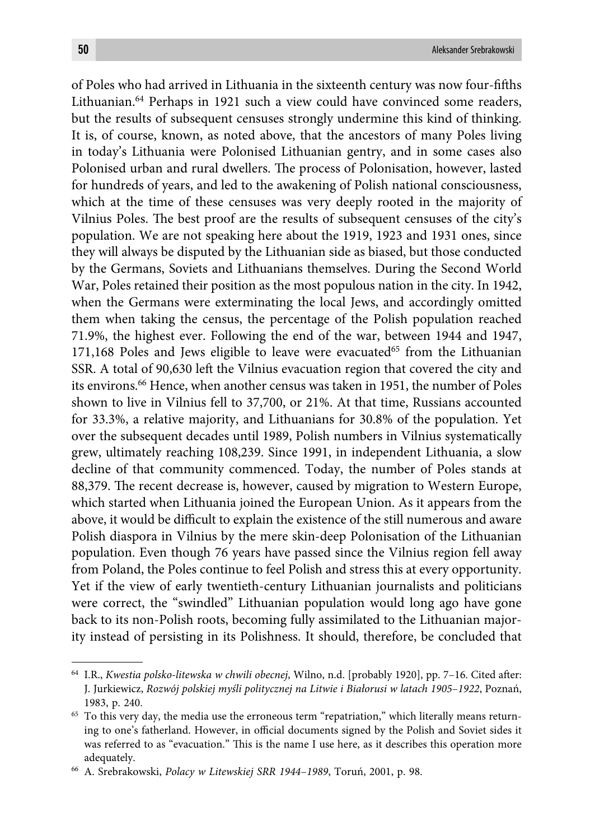of Poles who had arrived in Lithuania in the sixteenth century was now four-fifths Lithuanian.64 Perhaps in 1921 such a view could have convinced some readers, but the results of subsequent censuses strongly undermine this kind of thinking. It is, of course, known, as noted above, that the ancestors of many Poles living in today's Lithuania were Polonised Lithuanian gentry, and in some cases also Polonised urban and rural dwellers. The process of Polonisation, however, lasted for hundreds of years, and led to the awakening of Polish national consciousness, which at the time of these censuses was very deeply rooted in the majority of Vilnius Poles. The best proof are the results of subsequent censuses of the city's population. We are not speaking here about the 1919, 1923 and 1931 ones, since they will always be disputed by the Lithuanian side as biased, but those conducted by the Germans, Soviets and Lithuanians themselves. During the Second World War, Poles retained their position as the most populous nation in the city. In 1942, when the Germans were exterminating the local Jews, and accordingly omitted them when taking the census, the percentage of the Polish population reached 71.9%, the highest ever. Following the end of the war, between 1944 and 1947,  $171,168$  Poles and Jews eligible to leave were evacuated<sup>65</sup> from the Lithuanian SSR. A total of 90,630 left the Vilnius evacuation region that covered the city and its environs.66 Hence, when another census was taken in 1951, the number of Poles shown to live in Vilnius fell to 37,700, or 21%. At that time, Russians accounted for 33.3%, a relative majority, and Lithuanians for 30.8% of the population. Yet over the subsequent decades until 1989, Polish numbers in Vilnius systematically grew, ultimately reaching 108,239. Since 1991, in independent Lithuania, a slow decline of that community commenced. Today, the number of Poles stands at 88,379. The recent decrease is, however, caused by migration to Western Europe, which started when Lithuania joined the European Union. As it appears from the above, it would be difficult to explain the existence of the still numerous and aware Polish diaspora in Vilnius by the mere skin-deep Polonisation of the Lithuanian population. Even though 76 years have passed since the Vilnius region fell away from Poland, the Poles continue to feel Polish and stress this at every opportunity. Yet if the view of early twentieth-century Lithuanian journalists and politicians were correct, the "swindled" Lithuanian population would long ago have gone back to its non-Polish roots, becoming fully assimilated to the Lithuanian majority instead of persisting in its Polishness. It should, therefore, be concluded that

<sup>&</sup>lt;sup>64</sup> I.R., *Kwestia polsko-litewska w chwili obecnej*, Wilno, n.d. [probably 1920], pp. 7-16. Cited after: J. Jurkiewicz, *Rozwój polskiej myśli politycznej na Litwie i Białorusi w latach 1905*–*1922*, Poznań, 1983, p. 240.

<sup>&</sup>lt;sup>65</sup> To this very day, the media use the erroneous term "repatriation," which literally means returning to one's fatherland. However, in official documents signed by the Polish and Soviet sides it was referred to as "evacuation." This is the name I use here, as it describes this operation more adequately.

<sup>66</sup> A. Srebrakowski, *Polacy w Litewskiej SRR 1944*–*1989*, Toruń, 2001, p. 98.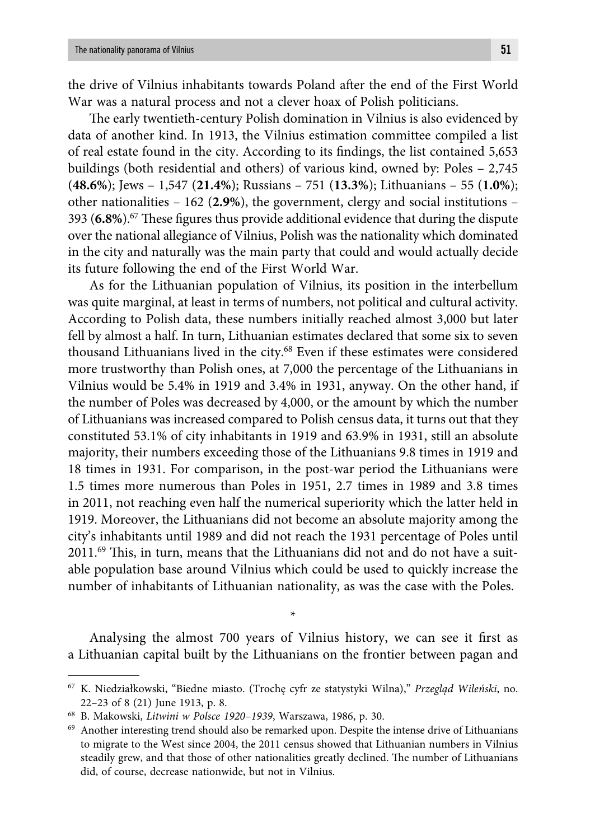the drive of Vilnius inhabitants towards Poland after the end of the First World War was a natural process and not a clever hoax of Polish politicians.

The early twentieth-century Polish domination in Vilnius is also evidenced by data of another kind. In 1913, the Vilnius estimation committee compiled a list of real estate found in the city. According to its findings, the list contained 5,653 buildings (both residential and others) of various kind, owned by: Poles – 2,745 (**48.6%**); Jews – 1,547 (**21.4%**); Russians – 751 (**13.3%**); Lithuanians – 55 (**1.0%**); other nationalities – 162 (**2.9%**), the government, clergy and social institutions – 393 (6.8%).<sup>67</sup> These figures thus provide additional evidence that during the dispute over the national allegiance of Vilnius, Polish was the nationality which dominated in the city and naturally was the main party that could and would actually decide its future following the end of the First World War.

As for the Lithuanian population of Vilnius, its position in the interbellum was quite marginal, at least in terms of numbers, not political and cultural activity. According to Polish data, these numbers initially reached almost 3,000 but later fell by almost a half. In turn, Lithuanian estimates declared that some six to seven thousand Lithuanians lived in the city.<sup>68</sup> Even if these estimates were considered more trustworthy than Polish ones, at 7,000 the percentage of the Lithuanians in Vilnius would be 5.4% in 1919 and 3.4% in 1931, anyway. On the other hand, if the number of Poles was decreased by 4,000, or the amount by which the number of Lithuanians was increased compared to Polish census data, it turns out that they constituted 53.1% of city inhabitants in 1919 and 63.9% in 1931, still an absolute majority, their numbers exceeding those of the Lithuanians 9.8 times in 1919 and 18 times in 1931. For comparison, in the post-war period the Lithuanians were 1.5 times more numerous than Poles in 1951, 2.7 times in 1989 and 3.8 times in 2011, not reaching even half the numerical superiority which the latter held in 1919. Moreover, the Lithuanians did not become an absolute majority among the city's inhabitants until 1989 and did not reach the 1931 percentage of Poles until  $2011.^{69}$  This, in turn, means that the Lithuanians did not and do not have a suitable population base around Vilnius which could be used to quickly increase the number of inhabitants of Lithuanian nationality, as was the case with the Poles.

Analysing the almost 700 years of Vilnius history, we can see it first as a Lithuanian capital built by the Lithuanians on the frontier between pagan and

\*

<sup>67</sup> K. Niedziałkowski, "Biedne miasto. (Trochę cyfr ze statystyki Wilna)," *Przegląd Wileński*, no. 22–23 of 8 (21) June 1913, p. 8.

<sup>68</sup> B. Makowski, *Litwini w Polsce 1920*–*1939*, Warszawa, 1986, p. 30.

<sup>69</sup> Another interesting trend should also be remarked upon. Despite the intense drive of Lithuanians to migrate to the West since 2004, the 2011 census showed that Lithuanian numbers in Vilnius steadily grew, and that those of other nationalities greatly declined. The number of Lithuanians did, of course, decrease nationwide, but not in Vilnius.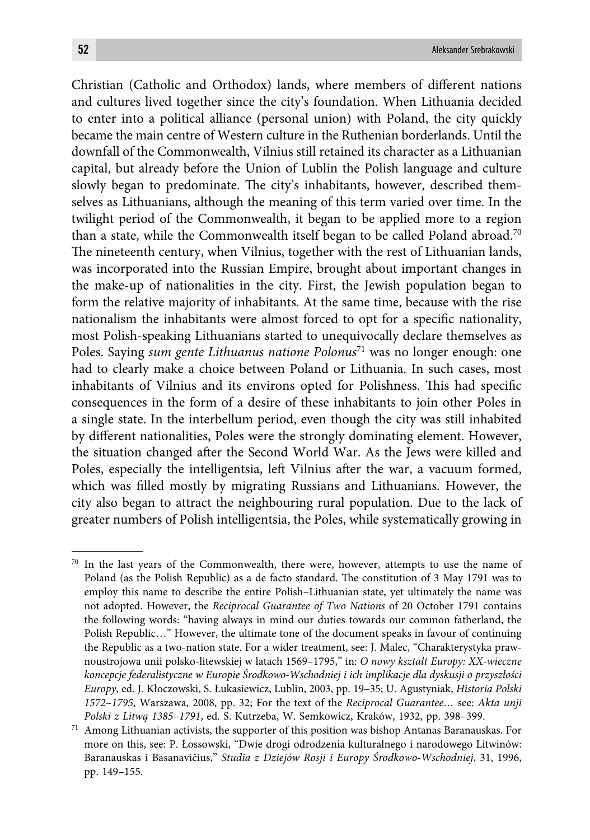Christian (Catholic and Orthodox) lands, where members of different nations and cultures lived together since the city's foundation. When Lithuania decided to enter into a political alliance (personal union) with Poland, the city quickly became the main centre of Western culture in the Ruthenian borderlands. Until the downfall of the Commonwealth, Vilnius still retained its character as a Lithuanian capital, but already before the Union of Lublin the Polish language and culture slowly began to predominate. The city's inhabitants, however, described themselves as Lithuanians, although the meaning of this term varied over time. In the twilight period of the Commonwealth, it began to be applied more to a region than a state, while the Commonwealth itself began to be called Poland abroad.<sup>70</sup> The nineteenth century, when Vilnius, together with the rest of Lithuanian lands, was incorporated into the Russian Empire, brought about important changes in the make-up of nationalities in the city. First, the Jewish population began to form the relative majority of inhabitants. At the same time, because with the rise nationalism the inhabitants were almost forced to opt for a specific nationality, most Polish-speaking Lithuanians started to unequivocally declare themselves as Poles. Saying *sum gente Lithuanus natione Polonus*71 was no longer enough: one had to clearly make a choice between Poland or Lithuania. In such cases, most inhabitants of Vilnius and its environs opted for Polishness. This had specific consequences in the form of a desire of these inhabitants to join other Poles in a single state. In the interbellum period, even though the city was still inhabited by different nationalities, Poles were the strongly dominating element. However, the situation changed after the Second World War. As the Jews were killed and Poles, especially the intelligentsia, left Vilnius after the war, a vacuum formed, which was filled mostly by migrating Russians and Lithuanians. However, the city also began to attract the neighbouring rural population. Due to the lack of greater numbers of Polish intelligentsia, the Poles, while systematically growing in

<sup>70</sup> In the last years of the Commonwealth, there were, however, attempts to use the name of Poland (as the Polish Republic) as a de facto standard. The constitution of 3 May 1791 was to employ this name to describe the entire Polish–Lithuanian state, yet ultimately the name was not adopted. However, the *Reciprocal Guarantee of Two Nations* of 20 October 1791 contains the following words: "having always in mind our duties towards our common fatherland, the Polish Republic…" However, the ultimate tone of the document speaks in favour of continuing the Republic as a two-nation state. For a wider treatment, see: J. Malec, "Charakterystyka prawnoustrojowa unii polsko-litewskiej w latach 1569–1795," in: *O nowy kształt Europy: XX-wieczne koncepcje federalistyczne w Europie Środkowo-Wschodniej i ich implikacje dla dyskusji o przyszłości Europy*, ed. J. Kłoczowski, S. Łukasiewicz, Lublin, 2003, pp. 19–35; U. Agustyniak, *Historia Polski 1572*–*1795*, Warszawa, 2008, pp. 32; For the text of the *Reciprocal Guarantee…* see: *Akta unji Polski z Litwą 1385*–*1791*, ed. S. Kutrzeba, W. Semkowicz, Kraków, 1932, pp. 398–399.

<sup>71</sup> Among Lithuanian activists, the supporter of this position was bishop Antanas Baranauskas. For more on this, see: P. Łossowski, "Dwie drogi odrodzenia kulturalnego i narodowego Litwinów: Baranauskas i Basanavičius," *Studia z Dziejów Rosji i Europy Środkowo-Wschodniej*, 31, 1996, pp. 149–155.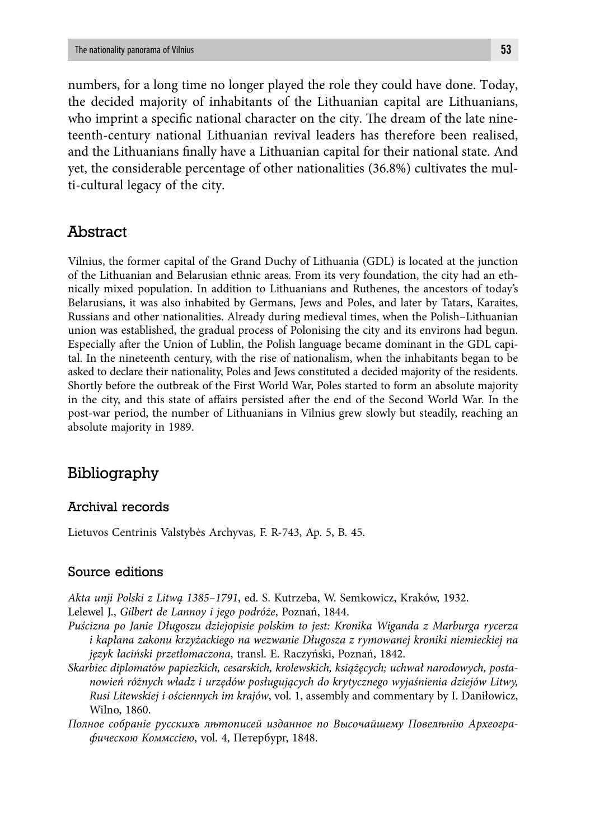numbers, for a long time no longer played the role they could have done. Today, the decided majority of inhabitants of the Lithuanian capital are Lithuanians, who imprint a specific national character on the city. The dream of the late nineteenth-century national Lithuanian revival leaders has therefore been realised, and the Lithuanians finally have a Lithuanian capital for their national state. And yet, the considerable percentage of other nationalities (36.8%) cultivates the multi-cultural legacy of the city.

### Abstract

Vilnius, the former capital of the Grand Duchy of Lithuania (GDL) is located at the junction of the Lithuanian and Belarusian ethnic areas. From its very foundation, the city had an ethnically mixed population. In addition to Lithuanians and Ruthenes, the ancestors of today's Belarusians, it was also inhabited by Germans, Jews and Poles, and later by Tatars, Karaites, Russians and other nationalities. Already during medieval times, when the Polish–Lithuanian union was established, the gradual process of Polonising the city and its environs had begun. Especially after the Union of Lublin, the Polish language became dominant in the GDL capital. In the nineteenth century, with the rise of nationalism, when the inhabitants began to be asked to declare their nationality, Poles and Jews constituted a decided majority of the residents. Shortly before the outbreak of the First World War, Poles started to form an absolute majority in the city, and this state of affairs persisted after the end of the Second World War. In the post-war period, the number of Lithuanians in Vilnius grew slowly but steadily, reaching an absolute majority in 1989.

# Bibliography

#### Archival records

Lietuvos Centrinis Valstybės Archyvas, F. R-743, Ap. 5, B. 45.

#### Source editions

*Akta unji Polski z Litwą 1385–1791*, ed. S. Kutrzeba, W. Semkowicz, Kraków, 1932. Lelewel J., *Gilbert de Lannoy i jego podróże*, Poznań, 1844.

- *Puścizna po Janie Długoszu dziejopisie polskim to jest: Kronika Wiganda z Marburga rycerza i kapłana zakonu krzyżackiego na wezwanie Długosza z rymowanej kroniki niemieckiej na język łaciński przetłomaczona*, transl. E. Raczyński, Poznań, 1842.
- *Skarbiec diplomatów papiezkich, cesarskich, krolewskich, książęcych; uchwał narodowych, postanowień różnych władz i urzędów posługujących do krytycznego wyjaśnienia dziejów Litwy, Rusi Litewskiej i ościennych im krajów*, vol. 1, assembly and commentary by I. Daniłowicz, Wilno, 1860.
- *Полное собраніе русскихъ лѣтописей изданное по Высочайшему Повелѣнію Археографическою Коммссіею*, vol. 4, Петербург, 1848.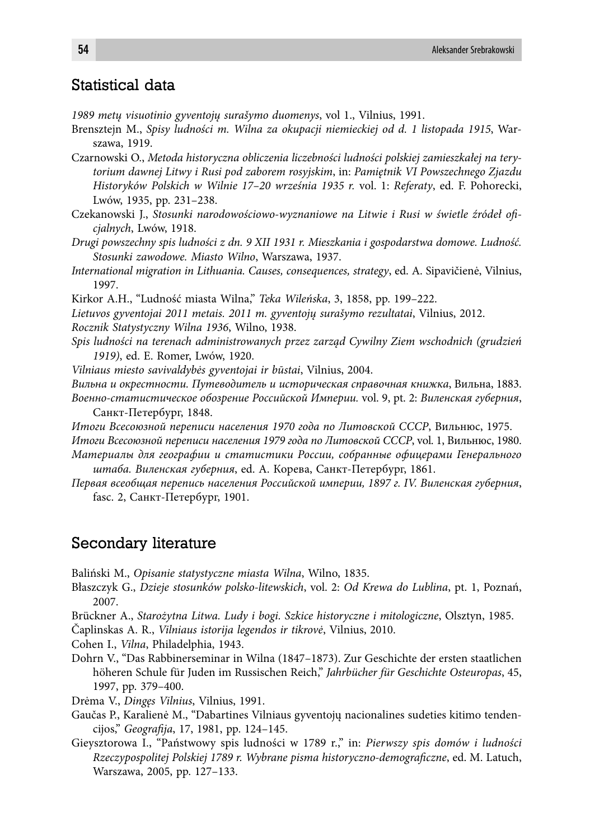# Statistical data

*1989 metų visuotinio gyventojų surašymo duomenys*, vol 1., Vilnius, 1991.

- Brensztejn M., *Spisy ludności m. Wilna za okupacji niemieckiej od d. 1 listopada 1915*, Warszawa, 1919.
- Czarnowski O., *Metoda historyczna obliczenia liczebności ludności polskiej zamieszkałej na terytorium dawnej Litwy i Rusi pod zaborem rosyjskim*, in: *Pamiętnik VI Powszechnego Zjazdu Historyków Polskich w Wilnie 17–20 września 1935 r.* vol. 1: *Referaty*, ed. F. Pohorecki, Lwów, 1935, pp. 231–238.
- Czekanowski J., *Stosunki narodowościowo-wyznaniowe na Litwie i Rusi w świetle źródeł ofi cjalnych*, Lwów, 1918.
- *Drugi powszechny spis ludności z dn. 9 XII 1931 r. Mieszkania i gospodarstwa domowe. Ludność. Stosunki zawodowe. Miasto Wilno*, Warszawa, 1937.
- *International migration in Lithuania. Causes, consequences, strategy*, ed. A. Sipavičienė, Vilnius, 1997.
- Kirkor A.H., "Ludność miasta Wilna," *Teka Wileńska*, 3, 1858, pp. 199–222.
- *Lietuvos gyventojai 2011 metais. 2011 m. gyventojų surašymo rezultatai*, Vilnius, 2012.

*Rocznik Statystyczny Wilna 1936*, Wilno, 1938.

- *Spis ludności na terenach administrowanych przez zarząd Cywilny Ziem wschodnich (grudzień 1919)*, ed. E. Romer, Lwów, 1920.
- *Vilniaus miesto savivaldybės gyventojai ir būstai*, Vilnius, 2004.
- *Вильна и окрестности. Путеводитель и историческая справочная книжка*, Вильна, 1883.
- *Военно-статистическое обозрение Российской Империи.* vol. 9, pt. 2: *Виленская губерния*, Санкт-Петербург, 1848.

*Итоги Всесоюзной переписи населения 1970 года по Литовской СССР*, Вильнюс, 1975. *Итоги Всесоюзной переписи населения 1979 года по Литовской СССР*, vol. 1, Вильнюс, 1980. *Материалы для географии и статистики России, собранные офицерами Генерального* 

- *штаба. Виленская губерния*, ed. А. Корева, Санкт-Петербург, 1861.
- *Первая всеобщая перепись населения Российской империи, 1897 г. IV. Виленская губерния*, fasc. 2, Санкт-Петербург, 1901.

### Secondary literature

Baliński M., *Opisanie statystyczne miasta Wilna*, Wilno, 1835.

- Błaszczyk G., *Dzieje stosunków polsko-litewskich*, vol. 2: *Od Krewa do Lublina*, pt. 1, Poznań, 2007.
- Brückner A., *Starożytna Litwa. Ludy i bogi. Szkice historyczne i mitologiczne*, Olsztyn, 1985.
- Čaplinskas A. R., *Vilniaus istorija legendos ir tikrovė*, Vilnius, 2010.
- Cohen I., *Vilna*, Philadelphia, 1943.
- Dohrn V., "Das Rabbinerseminar in Wilna (1847–1873). Zur Geschichte der ersten staatlichen höheren Schule für Juden im Russischen Reich," *Jahrbücher für Geschichte Osteuropas*, 45, 1997, pp. 379–400.
- Drėma V., *Dingęs Vilnius*, Vilnius, 1991.
- Gaučas P., Karalienė M., "Dabartines Vilniaus gyventojų nacionalines sudeties kitimo tendencijos," *Geografi ja*, 17, 1981, pp. 124–145.
- Gieysztorowa I., "Państwowy spis ludności w 1789 r.," in: *Pierwszy spis domów i ludności Rzeczypospolitej Polskiej 1789 r. Wybrane pisma historyczno-demografi czne*, ed. M. Latuch, Warszawa, 2005, pp. 127–133.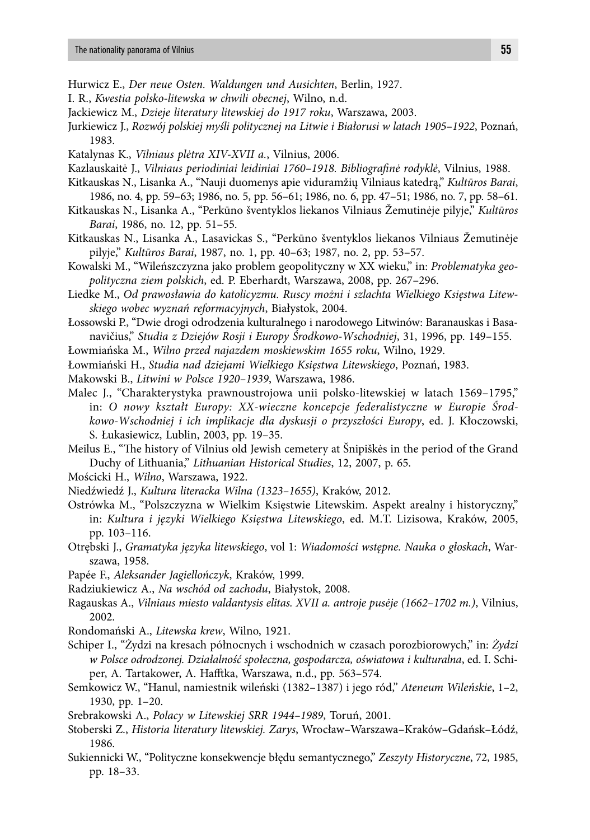- Hurwicz E., *Der neue Osten. Waldungen und Ausichten*, Berlin, 1927.
- I. R., *Kwestia polsko-litewska w chwili obecnej*, Wilno, n.d.
- Jackiewicz M., *Dzieje literatury litewskiej do 1917 roku*, Warszawa, 2003.
- Jurkiewicz J., *Rozwój polskiej myśli politycznej na Litwie i Białorusi w latach 1905–1922*, Poznań, 1983.
- Katalynas K., *Vilniaus plėtra XIV-XVII a.*, Vilnius, 2006.
- Kazlauskaitė J., *Vilniaus periodiniai leidiniai 1760–1918. Bibliografinė rodyklė*, Vilnius, 1988.
- Kitkauskas N., Lisanka A., "Nauji duomenys apie viduramžių Vilniaus katedrą," *Kultūros Barai*, 1986, no. 4, pp. 59–63; 1986, no. 5, pp. 56–61; 1986, no. 6, pp. 47–51; 1986, no. 7, pp. 58–61.
- Kitkauskas N., Lisanka A., "Perkūno šventyklos liekanos Vilniaus Žemutinėje pilyje," *Kultūros Barai*, 1986, no. 12, pp. 51–55.
- Kitkauskas N., Lisanka A., Lasavickas S., "Perkūno šventyklos liekanos Vilniaus Žemutinėje pilyje," *Kultūros Barai*, 1987, no. 1, pp. 40–63; 1987, no. 2, pp. 53–57.
- Kowalski M., "Wileńszczyzna jako problem geopolityczny w XX wieku," in: *Problematyka geopolityczna ziem polskich*, ed. P. Eberhardt, Warszawa, 2008, pp. 267–296.
- Liedke M., *Od prawosławia do katolicyzmu. Ruscy możni i szlachta Wielkiego Księstwa Litewskiego wobec wyznań reformacyjnych*, Białystok, 2004.
- Łossowski P., "Dwie drogi odrodzenia kulturalnego i narodowego Litwinów: Baranauskas i Basanavičius," *Studia z Dziejów Rosji i Europy Środkowo-Wschodniej*, 31, 1996, pp. 149–155.
- Łowmiańska M., *Wilno przed najazdem moskiewskim 1655 roku*, Wilno, 1929.
- Łowmiański H., *Studia nad dziejami Wielkiego Księstwa Litewskiego*, Poznań, 1983.
- Makowski B., *Litwini w Polsce 1920–1939*, Warszawa, 1986.
- Malec J., "Charakterystyka prawnoustrojowa unii polsko-litewskiej w latach 1569–1795," in: *O nowy kształt Europy: XX-wieczne koncepcje federalistyczne w Europie Środkowo-Wschodniej i ich implikacje dla dyskusji o przyszłości Europy*, ed. J. Kłoczowski, S. Łukasiewicz, Lublin, 2003, pp. 19–35.
- Meilus E., "The history of Vilnius old Jewish cemetery at Šnipiškės in the period of the Grand Duchy of Lithuania," *Lithuanian Historical Studies*, 12, 2007, p. 65.
- Mościcki H., *Wilno*, Warszawa, 1922.
- Niedźwiedź J., *Kultura literacka Wilna (1323–1655)*, Kraków, 2012.
- Ostrówka M., "Polszczyzna w Wielkim Księstwie Litewskim. Aspekt arealny i historyczny," in: *Kultura i języki Wielkiego Księstwa Litewskiego*, ed. M.T. Lizisowa, Kraków, 2005, pp. 103–116.
- Otrębski J., *Gramatyka języka litewskiego*, vol 1: *Wiadomości wstępne. Nauka o głoskach*, Warszawa, 1958.
- Papée F., *Aleksander Jagiellończyk*, Kraków, 1999.
- Radziukiewicz A., *Na wschód od zachodu*, Białystok, 2008.
- Ragauskas A., *Vilniaus miesto valdantysis elitas. XVII a. antroje pusėje (1662–1702 m.)*, Vilnius, 2002.
- Rondomański A., *Litewska krew*, Wilno, 1921.
- Schiper I., "Żydzi na kresach północnych i wschodnich w czasach porozbiorowych," in: *Żydzi w Polsce odrodzonej. Działalność społeczna, gospodarcza, oświatowa i kulturalna*, ed. I. Schiper, A. Tartakower, A. Hafftka, Warszawa, n.d., pp. 563–574.
- Semkowicz W., "Hanul, namiestnik wileński (1382–1387) i jego ród," *Ateneum Wileńskie*, 1–2, 1930, pp. 1–20.
- Srebrakowski A., *Polacy w Litewskiej SRR 1944–1989*, Toruń, 2001.
- Stoberski Z., *Historia literatury litewskiej. Zarys*, Wrocław–Warszawa–Kraków–Gdańsk–Łódź, 1986.
- Sukiennicki W., "Polityczne konsekwencje błędu semantycznego," *Zeszyty Historyczne*, 72, 1985, pp. 18–33.